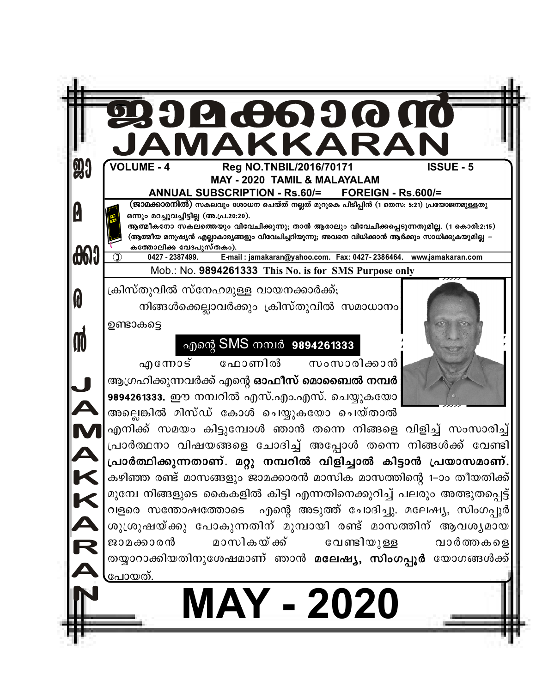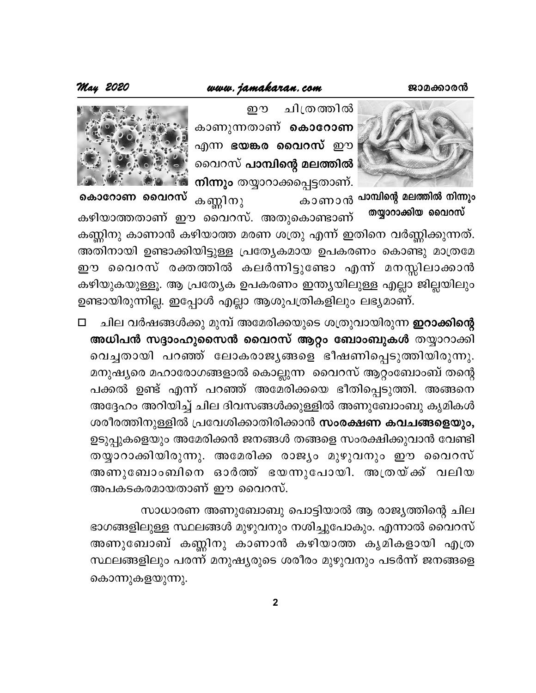## www.jamakaran.com



ചിത്രത്തിൽ ற $\mathfrak{D}$ കാണുന്നതാണ് കൊറോണ എന്ന ഭയങ്കര വൈറസ് **ഈ** വൈറസ് <mark>പാമ്പിന്റെ മലത്തിൽ</mark> നിന്നും തയ്യാറാക്കപ്പെട്ടതാണ്.



കൊറോണ വ<mark>ൈ</mark>റസ് കണ്ണിനു

തയ്യാറാക്കിയ വൈറസ് കഴിയാത്തതാണ് ഈ വൈറസ്. അതുകൊണ്ടാണ് കണ്ണിനു കാണാൻ കഴിയാത്ത മരണ ശത്രു എന്ന് ഇതിനെ വർണ്ണിക്കുന്നത്. അതിനായി ഉണ്ടാക്കിയിട്ടുള്ള പ്രത്യേകമായ ഉപകരണം കൊണ്ടു മാത്രമേ ഈ വൈറസ് രക്തത്തിൽ കലർന്നിട്ടുണ്ടോ എന്ന് മനസ്സിലാക്കാൻ കഴിയുകയുള്ളൂ. ആ പ്രത്യേക ഉപകരണം ഇന്ത്യയിലുള്ള എല്ലാ ജില്ലയിലും ഉണ്ടായിരുന്നില്ല. ഇപ്പോൾ എല്ലാ ആശുപത്രികളിലും ലഭ്യമാണ്.

ചില വർഷങ്ങൾക്കു മുമ്പ് അമേരിക്കയുടെ ശത്രുവായിരുന്ന **ഇറാക്കിന്റെ**  $\Box$ അധിപൻ സദ്ദാംഹുസൈൻ വൈറസ് ആറ്റം ബോംബുകൾ തയ്യാറാക്കി വെച്ചതായി പറഞ്ഞ് ലോകരാജൃങ്ങളെ ഭീഷണിപ്പെടുത്തിയിരുന്നു. മനുഷ്യരെ മഹാരോഗങ്ങളാൽ കൊല്ലുന്ന വൈറസ് ആറ്റംബോംബ് തന്റെ പക്കൽ ഉണ്ട് എന്ന് പറഞ്ഞ് അമേരിക്കയെ ഭീതിപ്പെടുത്തി. അങ്ങനെ അദ്ദേഹം അറിയിച്ച് ചില ദിവസങ്ങൾക്കുള്ളിൽ അണുബോംബു കൃമികൾ ശരീരത്തിനുള്ളിൽ പ്രവേശിക്കാതിരിക്കാൻ സംരക്ഷണ കവചങ്ങളെയും, ഉടുപ്പുകളെയും അമേരിക്കൻ ജനങ്ങൾ തങ്ങളെ സംരക്ഷിക്കുവാൻ വേണ്ടി തയ്യാറാക്കിയിരുന്നു. അമേരിക്ക രാജ്യം മുഴുവനും ഈ വൈറസ് അണുബോംബിനെ ഓർത്ത് ഭയന്നുപോയി. അത്രയ്ക്ക് വലിയ അപകടകരമായതാണ് ഈ വൈറസ്.

സാധാരണ അണുബോബു പൊട്ടിയാൽ ആ രാജ്യത്തിന്റെ ചില ഭാഗങ്ങളിലുള്ള സ്ഥലങ്ങൾ മുഴുവനും നശിച്ചുപോകും. എന്നാൽ വൈറസ് അണുബോബ് കണ്ണിനു കാണാൻ കഴിയാത്ത കൃമികളായി എത്ര സ്ഥലങ്ങളിലും പരന്ന് മനുഷ്യരുടെ ശരീരം മുഴുവനും പടർന്ന് ജനങ്ങളെ കൊന്നുകളയുന്നു.

 $\overline{2}$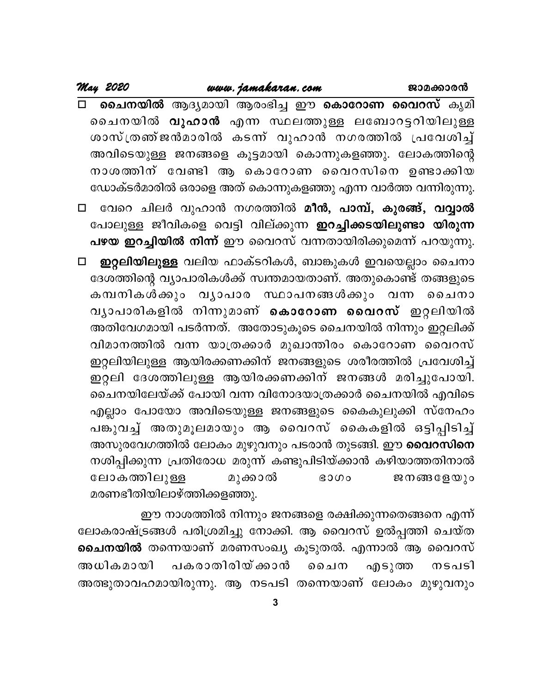ചൈനയിൽ ആദ്യമായി ആരംഭിച്ച ഈ കൊറോണ വൈറസ് കൃമി  $\Box$ ചൈനയിൽ <mark>വുഹാൻ</mark> എന്ന സ്ഥലത്തുള്ള ലബോറട്ടറിയിലുള്ള ശാസ്ത്രഞ്ജൻമാരിൽ കടന്ന് വുഹാൻ നഗരത്തിൽ പ്രവേശിച്ച് അവിടെയുള്ള ജനങ്ങളെ കൂട്ടമായി കൊന്നുകളഞ്ഞു. ലോകത്തിന്റെ നാശത്തിന് വേണ്ടി ആ കൊറോണ വൈറസിനെ ഉണ്ടാക്കിയ ഡോക്ടർമാരിൽ ഒരാളെ അത് കൊന്നുകളഞ്ഞു എന്ന വാർത്ത വന്നിരുന്നു.

വേറെ ചിലർ വുഹാൻ നഗരത്തിൽ മീൻ, പാമ്പ്, കുരങ്ങ്, വവ്വാൽ  $\Box$ പോലുള്ള ജീവികളെ വെട്ടി വില്ക്കുന്ന **ഇറച്ചിക്കടയിലുണ്ടാ യിരുന്ന** പഴയ ഇറച്ചിയിൽ നിന്ന് ഈ വൈറസ് വന്നതായിരിക്കുമെന്ന് പറയുന്നു.

ഇറ്റലിയിലുള്ള വലിയ ഫാക്ടറികൾ, ബാങ്കുകൾ ഇവയെല്ലാം ചൈനാ  $\Box$ ദേശത്തിന്റെ വ്യാപാരികൾക്ക് സ്വന്തമായതാണ്. അതുകൊണ്ട് തങ്ങളുടെ കമ്പനികൾക്കും വ്യാപാര സ്ഥാപനങ്ങൾക്കും വന്ന ചൈനാ വ്യാപാരികളിൽ നിന്നുമാണ് കൊറോണ വൈറസ് ഇറ്റലിയിൽ അതിവേഗമായി പടർന്നത്. അതോടുകൂടെ ചൈനയിൽ നിന്നും ഇറ്റലിക്ക് വിമാനത്തിൽ വന്ന യാത്രക്കാർ മുഖാന്തിരം കൊറോണ വൈറസ് ഇറ്റലിയിലുള്ള ആയിരക്കണക്കിന് ജനങ്ങളുടെ ശരീരത്തിൽ പ്രവേശിച്ച് ഇറ്റലി ദേശത്തിലുള്ള ആയിരക്കണക്കിന് ജനങ്ങൾ മരിച്ചുപോയി. ചൈനയിലേയ്ക്ക് പോയി വന്ന വിനോദയാത്രക്കാർ ചൈനയിൽ എവിടെ എല്ലാം പോയോ അവിടെയുള്ള ജനങ്ങളുടെ കൈകുലുക്കി സ്നേഹം പങ്കുവച്ച് അതുമൂലമായും ആ വൈറസ് കൈകളിൽ ഒട്ടിപ്പിടിച്ച് അസുരവേഗത്തിൽ ലോകം മുഴുവനും പടരാൻ തുടങ്ങി. ഈ <mark>വൈറസിനെ</mark> നശിപ്പിക്കുന്ന പ്രതിരോധ മരുന്ന് കണ്ടുപിടിയ്ക്കാൻ കഴിയാത്തതിനാൽ ലോകത്തിലുള്ള മുക്കാൽ ജനങ്ങളേയു<u>ം</u>  $3000$ മരണഭീതിയിലാഴ്ത്തിക്കളഞ്ഞു.

ഈ നാശത്തിൽ നിന്നും ജനങ്ങളെ രക്ഷിക്കുന്നതെങ്ങനെ എന്ന് ലോകരാഷ്ട്രങ്ങൾ പരിശ്രമിച്ചു നോക്കി. ആ വൈറസ് ഉൽപ്പത്തി ചെയ്ത ചൈ<mark>നയിൽ</mark> തന്നെയാണ് മരണസംഖ്യ കൂടുതൽ. എന്നാൽ ആ വൈറസ് പകരാതിരിയ് ക<u>്</u>കാൻ അധികമായി ചൈന എടുത്ത നടപടി അത്ഭുതാവഹമായിരുന്നു. ആ നടപടി തന്നെയാണ് ലോകം മുഴുവനും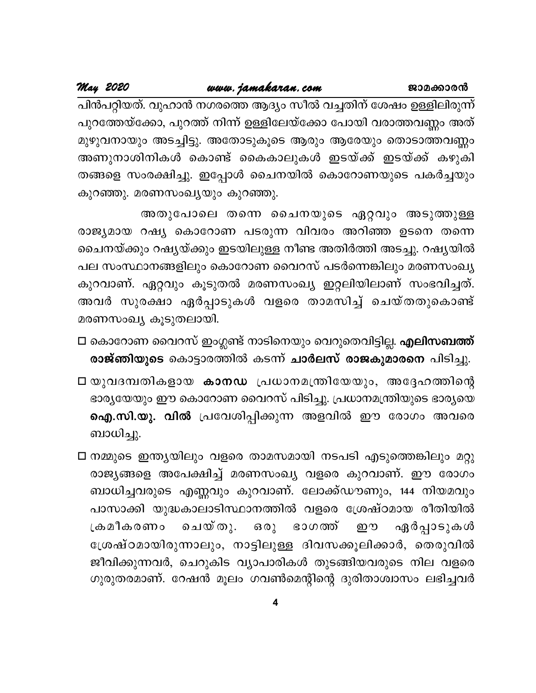May 2020

പിൻപറ്റിയത്. വുഹാൻ നഗരത്തെ ആദ്യം സീൽ വച്ചതിന് ശേഷം ഉള്ളിലിരുന്ന് പുറത്തേയ്ക്കോ, പുറത്ത് നിന്ന് ഉള്ളിലേയ്ക്കോ പോയി വരാത്തവണ്ണം അത് മുഴുവനായും അടച്ചിട്ടു. അതോടുകൂടെ ആരും ആരേയും തൊടാത്തവണ്ണം അണുനാശിനികൾ കൊണ്ട് കൈകാലുകൾ ഇടയ്ക്ക് ഇടയ്ക്ക് കഴുകി തങ്ങളെ സംരക്ഷിച്ചു. ഇപ്പോൾ ചൈനയിൽ കൊറോണയുടെ പകർച്ചയും കുറഞ്ഞു. മരണസംഖ്യയും കുറഞ്ഞു.

അതുപോലെ തന്നെ ചൈനയുടെ ഏറ്റവും അടുത്തുള്ള രാജ്യമായ റഷ്യ കൊറോണ പടരുന്ന വിവരം അറിഞ്ഞ ഉടനെ തന്നെ ചൈനയ്ക്കും റഷ്യയ്ക്കും ഇടയിലുള്ള നീണ്ട അതിർത്തി അടച്ചു. റഷ്യയിൽ പല സംസ്ഥാനങ്ങളിലും കൊറോണ വൈറസ് പടർന്നെങ്കിലും മരണസംഖ്യ കുറവാണ്. ഏറ്റവും കൂടുതൽ മരണസംഖ്യ ഇറ്റലിയിലാണ് സംഭവിച്ചത്. അവർ സുരക്ഷാ ഏർപ്പാടുകൾ വളരെ താമസിച്ച് ചെയ്തതുകൊണ്ട് മരണസംഖ്യ കൂടുതലായി.

- □ കൊറോണ വൈറസ് ഇംഗ്ലണ്ട് നാടിനെയും വെറുതെവിട്ടില്ല. എലിസബത്ത് രാജ്ഞിയുടെ കൊട്ടാരത്തിൽ കടന്ന് ചാർലസ് രാജകുമാരനെ പിടിച്ചു.
- □ യുവദമ്പതികളായ കാനഡ പ്രധാനമന്ത്രിയേയും, അദ്ദേഹത്തിന്റെ ഭാര്യയേയും ഈ കൊറോണ വൈറസ് പിടിച്ചു. പ്രധാനമന്ത്രിയുടെ ഭാര്യയെ ഐ.സി.യു. വിൽ പ്രവേശിപ്പിക്കുന്ന അളവിൽ ഈ രോഗം അവരെ ബാധിച്ചു.
- □ നമ്മുടെ ഇന്ത്യയിലും വളരെ താമസമായി നടപടി എടുത്തെങ്കിലും മറ്റു രാജ്യങ്ങളെ അപേക്ഷിച്ച് മരണസംഖ്യ വളരെ കുറവാണ്. ഈ രോഗം ബാധിച്ചവരുടെ എണ്ണവും കുറവാണ്. ലോക്ക്ഡൗണും, 144 നിയമവും പാസാക്കി യുദ്ധകാലാടിസ്ഥാനത്തിൽ വളരെ ശ്രേഷ്ഠമായ രീതിയിൽ ഏർപ്പാടുകൾ ചെയ്തു. ഒരു ഭാഗത്ത് ഈ ക്രമീകരണം ശ്രേഷ്ഠമായിരുന്നാലും, നാട്ടിലുള്ള ദിവസക്കൂലിക്കാർ, തെരുവിൽ ജീവിക്കുന്നവർ, ചെറുകിട വ്യാപാരികൾ തുടങ്ങിയവരുടെ നില വളരെ ഗുരുതരമാണ്. റേഷൻ മൂലം ഗവൺമെന്റിന്റെ ദുരിതാശ്വാസം ലഭിച്ചവർ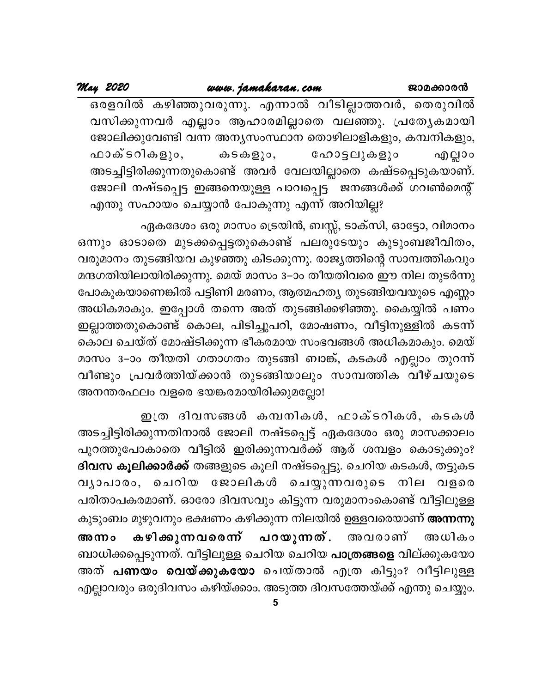ഒരളവിൽ കഴിഞ്ഞുവരുന്നു. എന്നാൽ വീടില്ലാത്തവർ, തെരുവിൽ വസിക്കുന്നവർ എല്ലാം ആഹാരമില്ലാതെ വലഞ്ഞു. പ്രത്യേകമായി ജോലിക്കുവേണ്ടി വന്ന അന്യസംസ്ഥാന തൊഴിലാളികളും, കമ്പനികളും, ഫാക്ടറികളും, ക $\mathsf{S}\oplus\mathsf{B}$ ു $\mathsf{o},$ ഹോട്ടലുകളും എല്ലാം അടച്ചിട്ടിരിക്കുന്നതുകൊണ്ട് അവർ വേലയില്ലാതെ കഷ്ടപ്പെടുകയാണ്. ജോലി നഷ്ടപ്പെട്ട ഇങ്ങനെയുള്ള പാവപ്പെട്ട ജനങ്ങൾക്ക് ഗവൺമെന്റ് എന്തു സഹായം ചെയ്യാൻ പോകുന്നു എന്ന് അറിയില്ല?

ഏകദേശം ഒരു മാസം ട്രെയിൻ, ബസ്സ്, ടാക്സി, ഓട്ടോ, വിമാനം ഒന്നും ഓടാതെ മുടക്കപ്പെട്ടതുകൊണ്ട് പലരുടേയും കുടുംബജീവിതം, വരുമാനം തുടങ്ങിയവ കുഴഞ്ഞു കിടക്കുന്നു. രാജ്യത്തിന്റെ സാമ്പത്തികവും മന്ദഗതിയിലായിരിക്കുന്നു. മെയ് മാസം 3–ാം തീയതിവരെ ഈ നില തുടർന്നു പോകുകയാണെങ്കിൽ പട്ടിണി മരണം, ആത്മഹത്യ തുടങ്ങിയവയുടെ എണ്ണം അധികമാകും. ഇപ്പോൾ തന്നെ അത് തുടങ്ങിക്കഴിഞ്ഞു. കൈയ്യിൽ പണം ഇല്ലാത്തതുകൊണ്ട് കൊല, പിടിച്ചുപറി, മോഷണം, വീട്ടിനുള്ളിൽ കടന്ന് കൊല ചെയ്ത് മോഷ്ടിക്കുന്ന ഭീകരമായ സംഭവങ്ങൾ അധികമാകും. മെയ് മാസം 3–ാം തീയതി ഗതാഗതം തുടങ്ങി ബാങ്ക്, കടകൾ എല്ലാം തുറന്ന് വീണ്ടും പ്രവർത്തിയ്ക്കാൻ തുടങ്ങിയാലും സാമ്പത്തിക വീഴ്ചയുടെ അനന്തരഫലം വളരെ ഭയങ്കരമായിരിക്കുമല്ലോ!

ഇത്ര ദിവസങ്ങൾ കമ്പനികൾ, ഫാക്ടറികൾ, കടകൾ അടച്ചിട്ടിരിക്കുന്നതിനാൽ ജോലി നഷ്ടപ്പെട്ട് ഏകദേശം ഒരു മാസക്കാലം പുറത്തുപോകാതെ വീട്ടിൽ ഇരിക്കുന്നവർക്ക് ആര് ശമ്പളം കൊടുക്കും? **ദിവസ കൂലിക്കാർക്ക്** തങ്ങളുടെ കൂലി നഷ്ടപ്പെട്ടു. ചെറിയ കടകൾ, തട്ടുകട വൃാപാരം, ചെറിയ ജോലികൾ ചെയ്യുന്നവരുടെ നില വളരെ പരിതാപകരമാണ്. ഓരോ ദിവസവും കിട്ടുന്ന വരുമാനംകൊണ്ട് വീട്ടിലുള്ള കുടുംബം മുഴുവനും ഭക്ഷണം കഴിക്കുന്ന നിലയിൽ ഉള്ളവരെയാണ് **അന്നന്നു** കഴിക്കുന്നവരെന്ന് പറയുന്നത്. അവരാണ് അധികം അന്നാ ബാധിക്കപ്പെടുന്നത്. വീട്ടിലുള്ള ചെറിയ ചെറിയ **പാത്രങ്ങളെ** വില്ക്കുകയോ അത് **പണയം വെയ്ക്കുകയോ** ചെയ്താൽ എത്ര കിട്ടും? വീട്ടിലുള്ള എല്ലാവരും ഒരുദിവസം കഴിയ്ക്കാം. അടുത്ത ദിവസത്തേയ്ക്ക് എന്തു ചെയ്യും.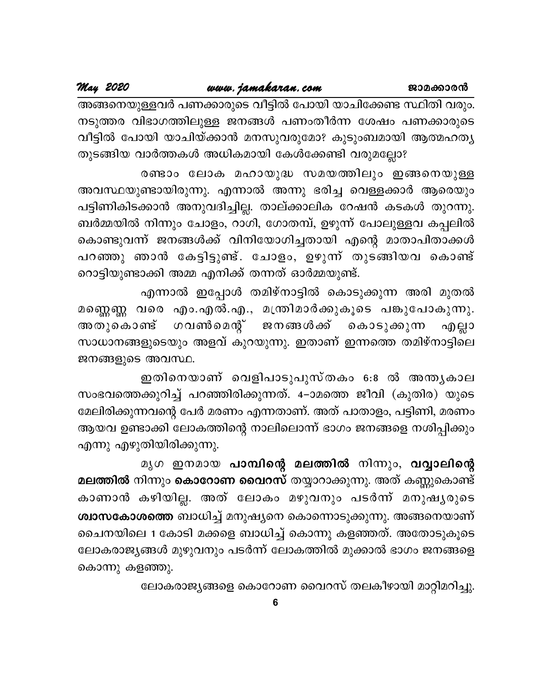അങ്ങനെയുള്ളവർ പണക്കാരുടെ വീട്ടിൽ പോയി യാചിക്കേണ്ട സ്ഥിതി വരും. നടുത്തര വിഭാഗത്തിലുള്ള ജനങ്ങൾ പണംതീർന്ന ശേഷം പണക്കാരുടെ വീട്ടിൽ പോയി യാചിയ്ക്കാൻ മനസുവരുമോ? കുടുംബമായി ആത്മഹത്യ തുടങ്ങിയ വാർത്തകൾ അധികമായി കേൾക്കേണ്ടി വരുമല്ലോ?

രണ്ടാം ലോക മഹായുദ്ധ സമയത്തിലും ഇങ്ങനെയുള്ള അവസ്ഥയുണ്ടായിരുന്നു. എന്നാൽ അന്നു ഭരിച്ച വെള്ളക്കാർ ആരെയും പട്ടിണികിടക്കാൻ അനുവദിച്ചില്ല. താല്ക്കാലിക റേഷൻ കടകൾ തുറന്നു. ബർമ്മയിൽ നിന്നും ചോളം, റാഗി, ഗോതമ്പ്, ഉഴുന്ന് പോലുള്ളവ കപ്പലിൽ കൊണ്ടുവന്ന് ജനങ്ങൾക്ക് വിനിയോഗിച്ചതായി എന്റെ മാതാപിതാക്കൾ പറഞ്ഞു ഞാൻ കേട്ടിട്ടുണ്ട്. ചോളം, ഉഴുന്ന് തുടങ്ങിയവ കൊണ്ട് റൊട്ടിയുണ്ടാക്കി അമ്മ എനിക്ക് തന്നത് ഓർമ്മയുണ്ട്.

എന്നാൽ ഇപ്പോൾ തമിഴ്നാട്ടിൽ കൊടുക്കുന്ന അരി മുതൽ മണ്ണെണ്ണ വരെ എം.എൽ.എ., മന്ത്രിമാർക്കുകൂടെ പങ്കുപോകുന്നു. ഗവൺമെന്റ് ജനങ്ങൾക്ക് കൊടുക്കുന്ന അതുകൊണ്ട് എല്ലാ സാധാനങ്ങളുടെയും അളവ് കുറയുന്നു. ഇതാണ് ഇന്നത്തെ തമിഴ്നാട്ടിലെ ജനങ്ങളുടെ അവസ്ഥ.

ഇതിനെയാണ് വെളിപാടുപുസ്തകം 6:8 ൽ അന്തൃകാല സംഭവത്തെക്കുറിച്ച് പറഞ്ഞിരിക്കുന്നത്. 4–ാമത്തെ ജീവി (കുതിര) യുടെ മേലിരിക്കുന്നവന്റെ പേർ മരണം എന്നതാണ്. അത് പാതാളം, പട്ടിണി, മരണം ആയവ ഉണ്ടാക്കി ലോകത്തിന്റെ നാലിലൊന്ന് ഭാഗം ജനങ്ങളെ നശിപ്പിക്കും എന്നു എഴുതിയിരിക്കുന്നു.

മൃഗ ഇനമായ <mark>പാമ്പിന്റെ മലത്തിൽ</mark> നിന്നും, **വവ്വാലിന്റെ** മല<mark>ത്തിൽ</mark> നിന്നും <mark>കൊറോണ വൈറസ്</mark> തയ്യാറാക്കുന്നു. അത് കണ്ണുകൊണ്ട് കാണാൻ കഴിയില്ല. അത് ലോകം മഴുവനും പടർന്ന് മനുഷൃരുടെ ശ്<mark>വാസകോശത്തെ</mark> ബാധിച്ച് മനുഷ്യനെ കൊന്നൊടുക്കുന്നു. അങ്ങനെയാണ് ചൈനയിലെ 1 കോടി മക്കളെ ബാധിച്ച് കൊന്നു കളഞ്ഞത്. അതോടുകൂടെ ലോകരാജ്യങ്ങൾ മുഴുവനും പടർന്ന് ലോകത്തിൽ മുക്കാൽ ഭാഗം ജനങ്ങളെ കൊന്നു കളഞ്ഞു.

ലോകരാജ്യങ്ങളെ കൊറോണ വൈറസ് തലകീഴായി മാറ്റിമറിച്ചു.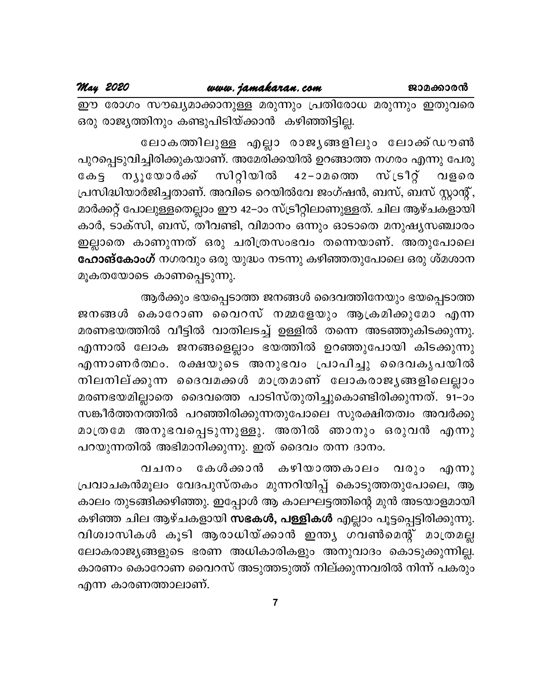May 2020

ഈ രോഗം സൗഖ്യമാക്കാനുള്ള മരുന്നും പ്രതിരോധ മരുന്നും ഇതുവരെ ഒരു രാജ്യത്തിനും കണ്ടുപിടിയ്ക്കാൻ കഴിഞ്ഞിട്ടില്ല.

ലോകത്തിലുള്ള എല്ലാ രാജൃങ്ങളിലും ലോക്ക്ഡൗൺ പുറപ്പെടുവിച്ചിരിക്കുകയാണ്. അമേരിക്കയിൽ ഉറങ്ങാത്ത നഗരം എന്നു പേരു കേട്ട ന്യൂയോർക്ക് സിറ്റിയിൽ <sub>ີ</sub> സ് ເຣ 1ິິິດ 42-ാമത്തെ വളരെ പ്രസിദ്ധിയാർജിച്ചതാണ്. അവിടെ റെയിൽവേ ജംഗ്ഷൻ, ബസ്, ബസ് സ്റ്റാന്റ്, മാർക്കറ്റ് പോലുള്ളതെല്ലാം ഈ 42–ാം സ്ട്രീറ്റിലാണുള്ളത്. ചില ആഴ്ചകളായി കാർ, ടാക്സി, ബസ്, തീവണ്ടി, വിമാനം ഒന്നും ഓടാതെ മനുഷ്യസഞ്ചാരം ഇല്ലാതെ കാണുന്നത് ഒരു ചരിത്രസംഭവം തന്നെയാണ്. അതുപോലെ **ഹോങ്കോംഗ്** നഗരവും ഒരു യുദ്ധം നടന്നു കഴിഞ്ഞതുപോലെ ഒരു ശ്മശാന മൂകതയോടെ കാണപ്പെടുന്നു.

ആർക്കും ഭയപ്പെടാത്ത ജനങ്ങൾ ദൈവത്തിനേയും ഭയപ്പെടാത്ത ജനങ്ങൾ കൊറോണ വൈറസ് നമ്മളേയും ആക്രമിക്കുമോ എന്ന മരണഭയത്തിൽ വീട്ടിൽ വാതിലടച്ച് ഉള്ളിൽ തന്നെ അടഞ്ഞുകിടക്കുന്നു. എന്നാൽ ലോക ജനങ്ങളെല്ലാം ഭയത്തിൽ ഉറഞ്ഞുപോയി കിടക്കുന്നു എന്നാണർത്ഥം. രക്ഷയുടെ അനുഭവം പ്രാപിച്ചു ദൈവകൃപയിൽ നിലനില്ക്കുന്ന ദൈവമക്കൾ മാത്രമാണ് ലോകരാജൃങ്ങളിലെല്ലാം മരണഭയമില്ലാതെ ദൈവത്തെ പാടിസ്തുതിച്ചുകൊണ്ടിരിക്കുന്നത്. 91–ാം സങ്കീർത്തനത്തിൽ പറഞ്ഞിരിക്കുന്നതുപോലെ സുരക്ഷിതത്വം അവർക്കു മാത്രമേ അനുഭവപ്പെടുന്നുള്ളു. അതിൽ ഞാനും ഒരുവൻ എന്നു പറയുന്നതിൽ അഭിമാനിക്കുന്നു. ഇത് ദൈവം തന്ന ദാനം.

കേൾക്കാൻ കഴിയാത്തകാലം വരും വചനം  $\alpha$ <sub>(1)</sub>  $\gamma$ പ്രവാചകൻമൂലം വേദപുസ്തകം മുന്നറിയിപ്പ് കൊടുത്തതുപോലെ, ആ കാലം തുടങ്ങിക്കഴിഞ്ഞു. ഇപ്പോൾ ആ കാലഘട്ടത്തിന്റെ മുൻ അടയാളമായി കഴിഞ്ഞ ചില ആഴ്ചകളായി <mark>സഭകൾ, പള്ളികൾ</mark> എല്ലാം പൂട്ടപ്പെട്ടിരിക്കുന്നു. വിശ്വാസികൾ കൂടി ആരാധിയ്ക്കാൻ ഇന്ത്യ ഗവൺമെന്റ് മാത്രമല്ല ലോകരാജ്യങ്ങളുടെ ഭരണ അധികാരികളും അനുവാദം കൊടുക്കുന്നില്ല. കാരണം കൊറോണ വൈറസ് അടുത്തടുത്ത് നില്ക്കുന്നവരിൽ നിന്ന് പകരും എന്ന കാരണത്താലാണ്.

 $\overline{7}$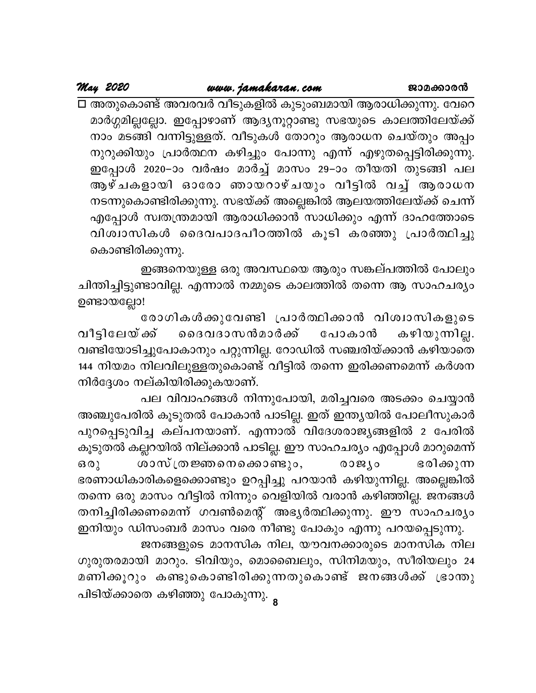May 2020

□ അതുകൊണ്ട് അവരവർ വീടുകളിൽ കുടുംബമായി ആരാധിക്കുന്നു. വേറെ മാർഗ്ഗമില്ലല്ലോ. ഇപ്പോഴാണ് ആദ്യനൂറ്റാണ്ടു സഭയുടെ കാലത്തിലേയ്ക്ക് നാം മടങ്ങി് വന്നിട്ടുള്ളത്. വീടുകൾ തോറും ആരാധന ചെയ്തും അപ്പം നുറുക്കിയും പ്രാർത്ഥന കഴിച്ചും പോന്നു എന്ന് എഴുതപ്പെട്ടിരിക്കുന്നു. ഇപ്പോൾ 2020–ാം വർഷം മാർച്ച് മാസം 29–ാം തീയതി തുടങ്ങി പല ആഴ്ചകളായി ഓരോ ഞായറാഴ്ചയും വീട്ടിൽ വച്ച് ആരാധന നടന്നുകൊണ്ടിരിക്കുന്നു. സഭയ്ക്ക് അല്ലെങ്കിൽ ആലയത്തിലേയ്ക്ക് ചെന്ന് എപ്പോൾ സ്വതന്ത്രമായി ആരാധിക്കാൻ സാധിക്കും എന്ന് ദാഹത്തോടെ വിശ്വാസികൾ ദൈവപാദപീഠത്തിൽ കൂടി കരഞ്ഞു പ്രാർത്ഥിച്ചു കൊണ്ടിരിക്കുന്നു.

ഇങ്ങനെയുള്ള ഒരു അവസ്ഥയെ ആരും സങ്കല്പത്തിൽ പോലും ചിന്തിച്ചിട്ടുണ്ടാവില്ല. എന്നാൽ നമ്മുടെ കാലത്തിൽ തന്നെ ആ സാഹചര്യം ഉണ്ടായല്ലോ!

രോഗികൾക്കുവേണ്ടി പ്രാർത്ഥിക്കാൻ വിശ്വാസികളുടെ ൈദവദാസൻമാർക്ക് വീട്ടിലേയ്*ക്*ക് കഴിയുന്നില്ല. പോകാൻ വണ്ടിയോടിച്ചുപോകാനും പറ്റുന്നില്ല. റോഡിൽ സഞ്ചരിയ്ക്കാൻ കഴിയാതെ 144 നിയമം നിലവിലുള്ളതുകൊണ്ട് വീട്ടിൽ തന്നെ ഇരിക്കണമെന്ന് കർശന നിർദ്ദേശം നല്കിയിരിക്കുകയാണ്.

പല വിവാഹങ്ങൾ നിന്നുപോയി, മരിച്ചവരെ അടക്കം ചെയ്യാൻ അഞ്ചുപേരിൽ കൂടുതൽ പോകാൻ പാടില്ല. ഇത് ഇന്ത്യയിൽ പോലീസുകാർ പുറപ്പെടുവിച്ച കല്പനയാണ്. എന്നാൽ വിദേശരാജ്യങ്ങളിൽ 2 പേരിൽ കൂടുതൽ കല്ലറയിൽ നില്ക്കാൻ പാടില്ല. ഈ സാഹചര്യം എപ്പോൾ മാറുമെന്ന് ശാസ്ത്രജ്ഞനെകൊണ്ടും, ഭരിക്കുന്ന രാജ്യം  $630$ ഭരണാധികാരികളെക്കൊണ്ടും ഉറപ്പിച്ചു പറയാൻ കഴിയുന്നില്ല. അല്ലെങ്കിൽ തന്നെ ഒരു മാസം വീട്ടിൽ നിന്നും വെളിയിൽ വരാൻ കഴിഞ്ഞില്ല. ജനങ്ങൾ തനിച്ചിരിക്കണമെന്ന് ഗവൺമെന്റ് അഭൃർത്ഥിക്കുന്നു. ഈ സാഹചര്യം

ഇനിയും ഡിസംബർ മാസം വരെ നീണ്ടു പോകും എന്നു പറയപ്പെടുന്നു. ജനങ്ങളുടെ മാനസിക നില, യൗവനക്കാരുടെ മാനസിക നില ഗുരുതരമായി മാറും. ടിവിയും, മൊബൈലും, സിനിമയും, സീരിയലും 24 മണിക്കൂറും കണ്ടുകൊണ്ടിരിക്കുന്നതുകൊണ്ട് ജനങ്ങൾക്ക് ഭ്രാന്തു പിടിയ്ക്കാതെ കഴിഞ്ഞു പോകുന്നു. <sub>8</sub>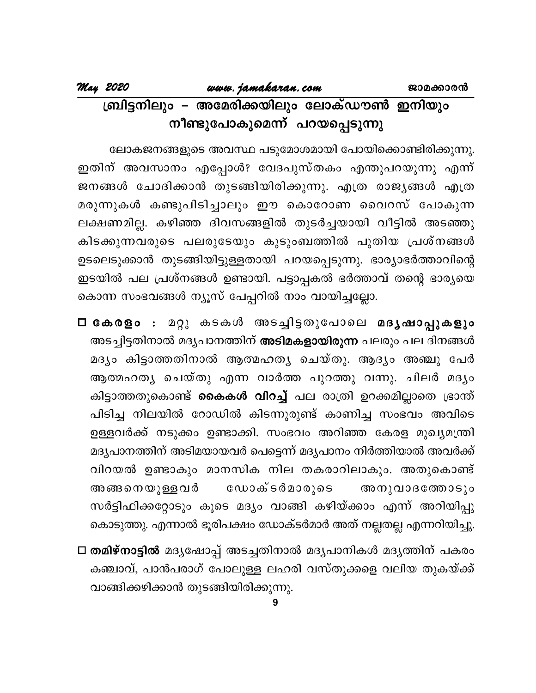ലോകജനങ്ങളുടെ അവസ്ഥ പടുമോശമായി പോയിക്കൊണ്ടിരിക്കുന്നു. ഇതിന് അവസാനം എപ്പോൾ? വേദപുസ്തകം എന്തുപറയുന്നു എന്ന് ജനങ്ങൾ ചോദിക്കാൻ തുടങ്ങിയിരിക്കുന്നു. എത്ര രാജ്യങ്ങൾ എത്ര മരുന്നുകൾ കണ്ടുപിടിച്ചാലും ഈ കൊറോണ വൈറസ് പോകുന്ന ലക്ഷണമില്ല. കഴിഞ്ഞ ദിവസങ്ങളിൽ തുടർച്ചയായി വീട്ടിൽ അടഞ്ഞു കിടക്കുന്നവരുടെ പലരുടേയും കുടുംബത്തിൽ പുതിയ പ്രശ്നങ്ങൾ ഉടലെടുക്കാൻ തുടങ്ങിയിട്ടുള്ളതായി പറയപ്പെടുന്നു. ഭാര്യാഭർത്താവിന്റെ ഇടയിൽ പല പ്രശ്നങ്ങൾ ഉണ്ടായി. പട്ടാപ്പകൽ ഭർത്താവ് തന്റെ ഭാര്യയെ കൊന്ന സംഭവങ്ങൾ ന്യൂസ് പേപ്പറിൽ നാം വായിച്ചല്ലോ.

□ കേരളം : മറ്റു കടകൾ അടച്ചിട്ടതുപോലെ മദൃഷാപ്പുകളും അടച്ചിട്ടതിനാൽ മദൃപാനത്തിന് **അടിമകളായിരുന്ന** പലരും പല ദിനങ്ങൾ മദ്യം കിട്ടാത്തതിനാൽ ആത്മഹത്യ ചെയ്തു. ആദ്യം അഞ്ചു പേർ ആത്മഹത്യ ചെയ്തു എന്ന വാർത്ത പുറത്തു വന്നു. ചിലർ മദ്യം കിട്ടാത്തതുകൊണ്ട് **കൈകൾ വിറച്ച്** പല രാത്രി ഉറക്കമില്ലാതെ ഭ്രാന്ത് പിടിച്ച നിലയിൽ റോഡിൽ കിടന്നുരുണ്ട് കാണിച്ച സംഭവം അവിടെ ഉള്ളവർക്ക് നടുക്കം ഉണ്ടാക്കി. സംഭവം അറിഞ്ഞ കേരള മുഖ്യമന്ത്രി മദൃപാനത്തിന് അടിമയായവർ പെട്ടെന്ന് മദൃപാനം നിർത്തിയാൽ അവർക്ക് വിറയൽ ഉണ്ടാകും മാനസിക നില തകരാറിലാകും. അതുകൊണ്ട് ഡോക്ടർമാരുടെ അങ്ങനെയുള്ളവർ അനുവാദത്തോടും സർട്ടിഫിക്കറ്റോടും കൂടെ മദ്യം വാങ്ങി കഴിയ്ക്കാം എന്ന് അറിയിപ്പു കൊടുത്തു. എന്നാൽ ഭൂരിപക്ഷം ഡോക്ടർമാർ അത് നല്ലതല്ല എന്നറിയിച്ചു.

□ തമിഴ്നാട്ടിൽ മദൃഷോപ്പ് അടച്ചതിനാൽ മദൃപാനികൾ മദൃത്തിന് പകരം കഞ്ചാവ്, പാൻപരാഗ് പോലുള്ള ലഹരി വസ്തുക്കളെ വലിയ തുകയ്ക്ക് വാങ്ങിക്കഴിക്കാൻ തുടങ്ങിയിരിക്കുന്നു.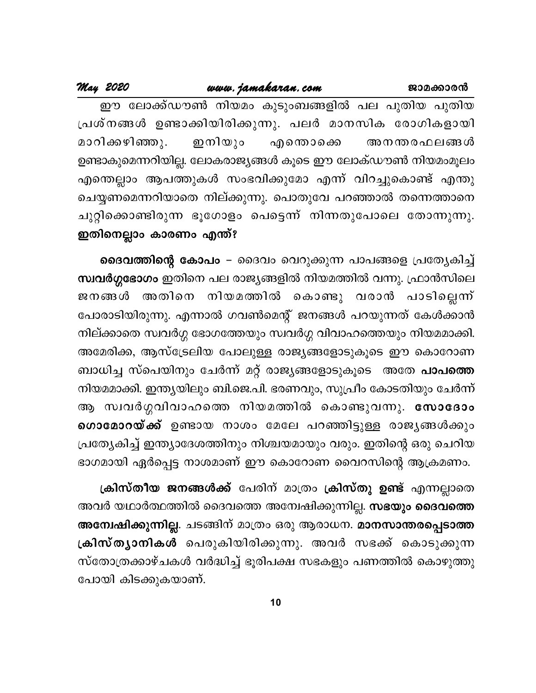## www.jamakaran.com

May 2020

ഈ ലോക്ക്ഡൗൺ നിയമം കുടുംബങ്ങളിൽ പല പുതിയ പുതിയ പ്രശ്നങ്ങൾ ഉണ്ടാക്കിയിരിക്കുന്നു. പലർ മാനസിക രോഗികളായി മാറിക്കഴിഞ്ഞു. ഇനിയും എന്തൊക്കെ അനന്തരഫലങ്ങൾ ഉണ്ടാകുമെന്നറിയില്ല. ലോകരാജ്യങ്ങൾ കൂടെ ഈ ലോക്ഡൗൺ നിയമംമൂലം എന്തെല്ലാം ആപത്തുകൾ സംഭവിക്കുമോ എന്ന് വിറച്ചുകൊണ്ട് എന്തു ചെയ്യണമെന്നറിയാതെ നില്ക്കുന്നു. പൊതുവേ പറഞ്ഞാൽ തന്നെത്താനെ ചുറ്റിക്കൊണ്ടിരുന്ന ഭൂഗോളം പെട്ടെന്ന് നിന്നതുപോലെ തോന്നുന്നു. ഇതിനെല്ലാം കാരണം എന്ത്?

ദൈവത്തിന്റെ കോപം – ദൈവം വെറുക്കുന്ന പാപങ്ങളെ പ്രത്യേകിച്ച് <mark>സ്വവർഗ്ഗഭോഗം</mark> ഇതിനെ പല രാജ്യങ്ങളിൽ നിയമത്തിൽ വന്നു. ഫ്രാൻസിലെ \_നിയമത്തിൽ കൊണ്ടു വരാൻ പാടില്ലെന്ന് ജനങ്ങൾ അതിനെ പോരാടിയിരുന്നു. എന്നാൽ ഗവൺമെന്റ് ജനങ്ങൾ പറയുന്നത് കേൾക്കാൻ നില്ക്കാതെ സ്വവർഗ്ഗ ഭോഗത്തേയും സ്വവർഗ്ഗ വിവാഹത്തെയും നിയമമാക്കി. അമേരിക്ക, ആസ്ട്രേലിയ പോലുള്ള രാജ്യങ്ങളോടുകൂടെ ഈ കൊറോണ ബാധിച്ച സ്പെയിനും ചേർന്ന് മറ്റ് രാജ്യങ്ങളോടുകൂടെ അതേ **പാപത്തെ** നിയമമാക്കി. ഇന്ത്യയിലും ബി.ജെ.പി. ഭരണവും, സുപ്രീം കോടതിയും ചേർന്ന് ആ സ്വവർഗ്ഗവിവാഹത്തെ നിയമത്തിൽ കൊണ്ടുവന്നു. സോദോം ഗൊമോറയ്ക്ക് ഉണ്ടായ നാശം മേലേ പറഞ്ഞിട്ടുള്ള രാജൃങ്ങൾക്കും പ്രത്യേകിച്ച് ഇന്ത്യാദേശത്തിനും നിശ്ചയമായും വരും. ഇതിന്റെ ഒരു ചെറിയ ഭാഗമായി ഏർപ്പെട്ട നാശമാണ് ഈ കൊറോണ വൈറസിന്റെ ആക്രമണം.

ക്രിസ്തീയ ജനങ്ങൾക്ക് പേരിന് മാത്രം ക്രിസ്തു ഉണ്ട് എന്നല്ലാതെ അവർ യഥാർത്ഥത്തിൽ ദൈവത്തെ അന്വേഷിക്കുന്നില്ല. <mark>സഭയും ദൈവത്തെ</mark> അമ്പേഷിക്കുന്നില്ല. ചടങ്ങിന് മാത്രം ഒരു ആരാധന. മാനസാന്തരപ്പെടാത്ത ക്രിസ്തൃാനികൾ പെരുകിയിരിക്കുന്നു. അവർ സഭക്ക് കൊടുക്കുന്ന സ്തോത്രക്കാഴ്ചകൾ വർദ്ധിച്ച് ഭൂരിപക്ഷ സഭകളും പണത്തിൽ കൊഴുത്തു പോയി കിടക്കുകയാണ്.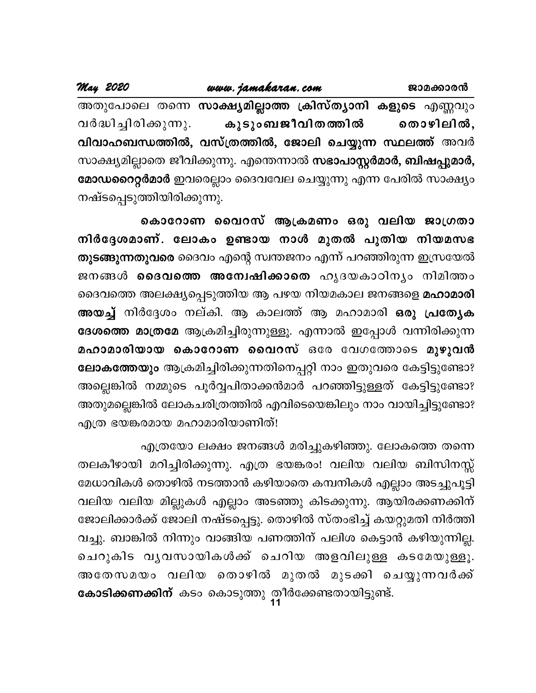| May 2020                    | www.jamakaran.com                                                    | ജാമക്കാരൻ |  |  |
|-----------------------------|----------------------------------------------------------------------|-----------|--|--|
|                             | അതുപോലെ തന്നെ സാക്ഷ്യമില്ലാത്ത ക്രിസ്ത്യാനി കളുടെ എണ്ണവും            |           |  |  |
|                             | വർദ്ധിച്ചിരിക്കുന്നു. കൂടുംബജീവിതത്തിൽ തൊഴിലിൽ,                      |           |  |  |
|                             | വിവാഹബന്ധത്തിൽ, വസ്ത്രത്തിൽ, ജോലി ചെയ്യുന്ന സ്ഥലത്ത് അവർ             |           |  |  |
|                             | സാക്ഷ്യമില്ലാതെ ജീവിക്കുന്നു. എന്തെന്നാൽ സഭാപാസ്റ്റർമാർ, ബിഷപ്പുമാർ, |           |  |  |
|                             | മോഡറൈറ്റർമാർ ഇവരെല്ലാം ദൈവവേല ചെയ്യുന്നു എന്ന പേരിൽ സാക്ഷ്യം         |           |  |  |
| നഷ്ടപ്പെടുത്തിയിരിക്കുന്നു. |                                                                      |           |  |  |

കൊറോണ വൈറസ് ആക്രമണം ഒരു വലിയ ജാഗ്രതാ നിർദ്ദേശമാണ്. ലോകം ഉണ്ടായ നാൾ മുതൽ പുതിയ നിയമസഭ തുടങ്ങുന്നതുവരെ ദൈവം എന്റെ സ്വന്തജനം എന്ന് പറഞ്ഞിരുന്ന ഇസ്രയേൽ ജനങ്ങൾ **ദൈവത്തെ അന്വേഷിക്കാതെ** ഹൃദയകാഠിനൃം നിമിത്തം ദൈവത്തെ അലക്ഷ്യപ്പെടുത്തിയ ആ പഴയ നിയമകാല ജനങ്ങളെ മഹാമാരി അയച്ച് നിർദ്ദേശം നല്കി. ആ കാലത്ത് ആ മഹാമാരി ഒരു പ്രത്യേക ദേശത്തെ മാത്രമേ ആക്രമിച്ചിരുന്നുള്ളൂ. എന്നാൽ ഇപ്പോൾ വന്നിരിക്കുന്ന മഹാമാരിയായ കൊറോണ വൈറസ് ഒരേ വേഗത്തോടെ മുഴുവൻ ലോകത്തേയും ആക്രമിച്ചിരിക്കുന്നതിനെപ്പറ്റി നാം ഇതുവരെ കേട്ടിട്ടുണ്ടോ? അല്ലെങ്കിൽ നമ്മുടെ പൂർവ്വപിതാക്കൻമാർ പറഞ്ഞിട്ടുള്ളത് കേട്ടിട്ടുണ്ടോ? അതുമല്ലെങ്കിൽ ലോകചരിത്രത്തിൽ എവിടെയെങ്കിലും നാം വായിച്ചിട്ടുണ്ടോ? എത്ര ഭയങ്കരമായ മഹാമാരിയാണിത്!

എത്രയോ ലക്ഷം ജനങ്ങൾ മരിച്ചുകഴിഞ്ഞു. ലോകത്തെ തന്നെ തലകീഴായി മറിച്ചിരിക്കുന്നു. എത്ര ഭയങ്കരം! വലിയ വലിയ ബിസിനസ്സ് മേധാവികൾ തൊഴിൽ നടത്താൻ കഴിയാതെ കമ്പനികൾ എല്ലാം അടച്ചുപൂട്ടി വലിയ വലിയ മില്ലുകൾ എല്ലാം അടഞ്ഞു കിടക്കുന്നു. ആയിരക്കണക്കിന് ജോലിക്കാർക്ക് ജോലി നഷ്ടപ്പെട്ടു. തൊഴിൽ സ്തംഭിച്ച് കയറ്റുമതി നിർത്തി വച്ചു. ബാങ്കിൽ നിന്നും വാങ്ങിയ പണത്തിന് പലിശ കെട്ടാൻ കഴിയുന്നില്ല. ചെറുകിട വൃവസായികൾക്ക് ചെറിയ അളവിലുള്ള കടമേയുള്ളൂ. അതേസമയം വലിയ തൊഴിൽ മുതൽ മുടക്കി ചെയ്യുന്നവർക്ക് കോടിക്കണക്കിന് കടം കൊടുത്തു തീർക്കേണ്ടതായിട്ടുണ്ട്.<br>11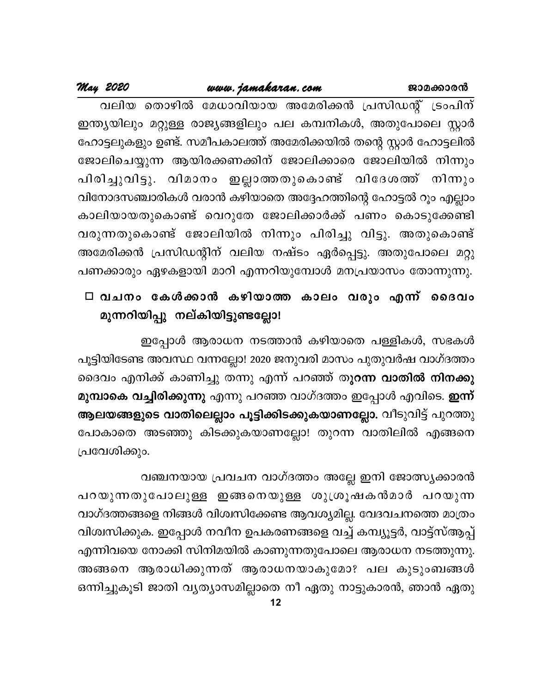## www.jamakaran.com

May 2020

വലിയ തൊഴിൽ മേധാവിയായ അമേരിക്കൻ പ്രസിഡന്റ് ട്രംപിന് ഇന്ത്യയിലും മറ്റുള്ള രാജ്യങ്ങളിലും പല കമ്പനികൾ, അതുപോലെ സ്റ്റാർ ഹോട്ടലുകളും ഉണ്ട്. സമീപകാലത്ത് അമേരിക്കയിൽ തന്റെ സ്റ്റാർ ഹോട്ടലിൽ ജോലിചെയ്യുന്ന ആയിരക്കണക്കിന് ജോലിക്കാരെ ജോലിയിൽ നിന്നും പിരിച്ചുവിട്ടു. വിമാനം ഇല്ലാത്തതുകൊണ്ട് വിദേശത്ത് നിന്നും വിനോദസഞ്ചാരികൾ വരാൻ കഴിയാതെ അദ്ദേഹത്തിന്റെ ഹോട്ടൽ റൂം എല്ലാം കാലിയായതുകൊണ്ട് വെറുതേ ജോലിക്കാർക്ക് പണം കൊടുക്കേണ്ടി വരുന്നതുകൊണ്ട് ജോലിയിൽ നിന്നും പിരിച്ചു വിട്ടു. അതുകൊണ്ട് അമേരിക്കൻ പ്രസിഡന്റിന് വലിയ നഷ്ടം ഏർപ്പെട്ടു. അതുപോലെ മറ്റു പണക്കാരും ഏഴകളായി മാറി എന്നറിയുമ്പോൾ മനപ്രയാസം തോന്നുന്നു.

## □ വചനം കേൾക്കാൻ കഴിയാത്ത കാലം വരും എന്ന് ദൈവം മുന്നറിയിപ്പു നല്കിയിട്ടുണ്ടല്ലോ!

ഇപ്പോൾ ആരാധന നടത്താൻ കഴിയാതെ പള്ളികൾ, സഭകൾ പൂട്ടിയിടേണ്ട അവസ്ഥ വന്നല്ലോ! 2020 ജനുവരി മാസം പുതുവർഷ വാഗ്ദത്തം ദൈവം എനിക്ക് കാണിച്ചു തന്നു എന്ന് പറഞ്ഞ് തു**റന്ന വാതിൽ നിനക്കു** മു**മ്പാകെ വച്ചിരിക്കുന്നു** എന്നു പറഞ്ഞ വാഗ്ദത്തം ഇപ്പോൾ എവിടെ. **ഇന്ന്** ആലയങ്ങളുടെ വാതിലെല്ലാം പൂട്ടിക്കിടക്കുകയാണല്ലോ. വീടുവിട്ട് പുറത്തു പോകാതെ അടഞ്ഞു കിടക്കുകയാണല്ലോ! തുറന്ന വാതിലിൽ എങ്ങനെ പ്രവേശിക്കും.

വഞ്ചനയായ പ്രവചന വാഗ്ദത്തം അല്ലേ ഇനി ജോത്സ്യക്കാരൻ പറയുന്നതുപോലുള്ള ഇങ്ങനെയുള്ള ശുശ്രൂഷകൻമാർ പറയുന്ന വാഗ്ദത്തങ്ങളെ നിങ്ങൾ വിശ്വസിക്കേണ്ട ആവശ്യമില്ല. വേദവചനത്തെ മാത്രം വിശ്വസിക്കുക. ഇപ്പോൾ നവീന ഉപകരണങ്ങളെ വച്ച് കമ്പ്യൂട്ടർ, വാട്ട്സ്ആപ്പ് എന്നിവയെ നോക്കി സിനിമയിൽ കാണുന്നതുപോലെ ആരാധന നടത്തുന്നു. അങ്ങനെ ആരാധിക്കുന്നത് ആരാധനയാകുമോ? പല കുടുംബങ്ങൾ ഒന്നിച്ചുകൂടി ജാതി വ്യത്യാസമില്ലാതെ നീ ഏതു നാട്ടുകാരൻ, ഞാൻ ഏതു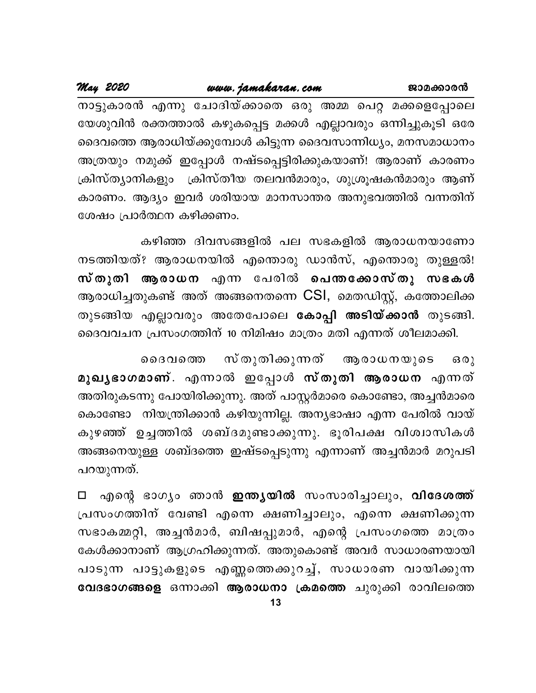May 2020

നാട്ടുകാരൻ എന്നു ചോദിയ്ക്കാതെ ഒരു അമ്മ പെറ്റ മക്കളെപ്പോലെ യേശുവിൻ രക്തത്താൽ കഴുകപ്പെട്ട മക്കൾ എല്ലാവരും ഒന്നിച്ചുകൂടി ഒരേ ദൈവത്തെ ആരാധിയ്ക്കുമ്പോൾ കിട്ടുന്ന ദൈവസാന്നിധ്യം, മനസമാധാനം അത്രയും നമുക്ക് ഇപ്പോൾ നഷ്ടപ്പെട്ടിരിക്കുകയാണ്! ആരാണ് കാരണം ക്രിസ്ത്യാനികളും ക്രിസ്തീയ തലവൻമാരും, ശുശ്രൂഷകൻമാരും ആണ് കാരണം. ആദ്യം ഇവർ ശരിയായ മാനസാന്തര അനുഭവത്തിൽ വന്നതിന് ശേഷം പ്രാർത്ഥന കഴിക്കണം.

കഴിഞ്ഞ ദിവസങ്ങളിൽ പല സഭകളിൽ ആരാധനയാണോ നടത്തിയത്? ആരാധനയിൽ എന്തൊരു ഡാൻസ്, എന്തൊരു തുള്ളൽ! സ്തുതി ആരാധന എന്ന പേരിൽ പെന്തക്കോസ്തു സഭകൾ ആരാധിച്ചതുകണ്ട് അത് അങ്ങനെതന്നെ CSI, മെതഡിസ്റ്റ്, കത്തോലിക്ക തുടങ്ങിയ എല്ലാവരും അതേപോലെ <mark>കോപ്പി അടിയ്ക്കാൻ</mark> തുടങ്ങി. ദൈവവചന പ്രസംഗത്തിന് 10 നിമിഷം മാത്രം മതി എന്നത് ശീലമാക്കി.

സ് തുതിക്കുന്നത് ആരാധനയുടെ  $60<sub>2</sub>$ ൈദവത്തെ മുഖൃഭാഗമാണ്. എന്നാൽ ഇപ്പോൾ സ്തുതി ആരാധന എന്നത് അതിരുകടന്നു പോയിരിക്കുന്നു. അത് പാസ്റ്റർമാരെ കൊണ്ടോ, അച്ചൻമാരെ കൊണ്ടോ നിയന്ത്രിക്കാൻ കഴിയുന്നില്ല. അന്യഭാഷാ എന്ന പേരിൽ വായ് കുഴഞ്ഞ് ഉച്ചത്തിൽ ശബ്ദമുണ്ടാക്കുന്നു. ഭൂരിപക്ഷ വിശ്വാസികൾ അങ്ങനെയുള്ള ശബ്ദത്തെ ഇഷ്ടപ്പെടുന്നു എന്നാണ് അച്ചൻമാർ മറുപടി പറയുന്നത്.

എന്റെ ഭാഗ്യം ഞാൻ **ഇന്ത്യയിൽ** സംസാരിച്ചാലും, **വിദേശത്ത്**  $\Box$ പ്രസംഗത്തിന് വേണ്ടി എന്നെ ക്ഷണിച്ചാലും, എന്നെ ക്ഷണിക്കുന്ന സഭാകമ്മറ്റി, അച്ചൻമാർ, ബിഷപ്പുമാർ, എന്റെ പ്രസംഗത്തെ മാത്രം കേൾക്കാനാണ് ആഗ്രഹിക്കുന്നത്. അതുകൊണ്ട് അവർ സാധാരണയായി പാടുന്ന പാട്ടുകളുടെ എണ്ണത്തെക്കുറച്ച്, സാധാരണ വായിക്കുന്ന വേദഭാഗങ്ങളെ ഒന്നാക്കി ആരാധനാ ക്രമത്തെ ചുരുക്കി രാവിലത്തെ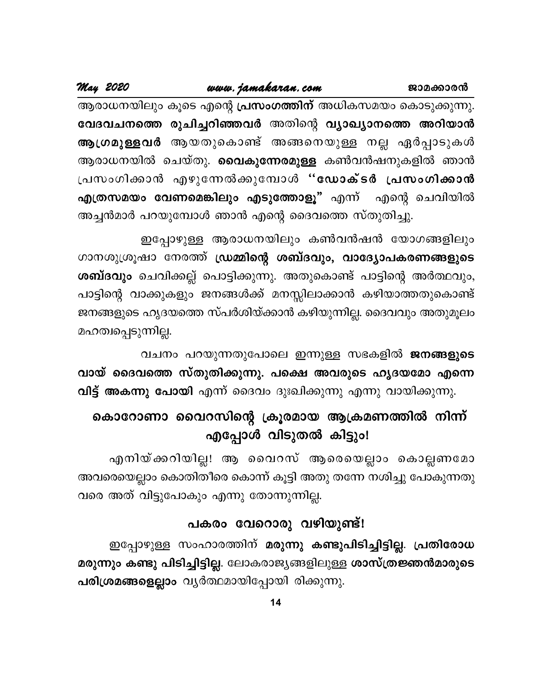ജാമക്കാരൻ

May 2020

ആരാധനയിലും കൂടെ എന്റെ <mark>പ്രസംഗത്തിന്</mark> അധികസമയം കൊടുക്കുന്നു. വേദവചനത്തെ രുചിച്ചറിഞ്ഞവർ അതിന്റെ വ്യാഖ്യാനത്തെ അറിയാൻ ആഗ്രമുള്ളവർ ആയതുകൊണ്ട് അങ്ങനെയുള്ള നല്ല ഏർപ്പാടുകൾ ആരാധനയിൽ ചെയ്തു. **വൈകുന്നേരമുള്ള** കൺവൻഷനുകളിൽ ഞാൻ പ്രസംഗിക്കാൻ എഴുന്നേൽക്കുമ്പോൾ "ഡോക്ടർ പ്രസംഗിക്കാൻ <mark>എത്രസമയം വേണമെങ്കിലും എടുത്തോളൂ"</mark> എന്ന് എന്റെ ചെവിയിൽ അച്ചൻമാർ പറയുമ്പോൾ ഞാൻ എന്റെ ദൈവത്തെ സ്തുതിച്ചു.

ഇപ്പോഴുള്ള ആരാധനയിലും കൺവൻഷൻ യോഗങ്ങളിലും ഗാനശുശ്രൂഷാ നേരത്ത് ഡ്രമ്മിന്റെ ശബ്ദവും, വാദ്യോപകരണങ്ങളുടെ ശബ്ദവും ചെവിക്കല്ല് പൊട്ടിക്കുന്നു. അതുകൊണ്ട് പാട്ടിന്റെ അർത്ഥവും, പാട്ടിന്റെ വാക്കുകളും ജനങ്ങൾക്ക് മനസ്സിലാക്കാൻ കഴിയാത്തതുകൊണ്ട് ജനങ്ങളുടെ ഹൃദയത്തെ സ്പർശിയ്ക്കാൻ കഴിയുന്നില്ല. ദൈവവും അതുമൂലം മഹത്വപ്പെടുന്നില്ല.

വചനം പറയുന്നതുപോലെ ഇന്നുള്ള സഭകളിൽ ജനങ്ങളുടെ വായ് ദൈവത്തെ സ്തുതിക്കുന്നു. പക്ഷെ അവരുടെ ഹൃദയമോ എന്നെ വിട്ട് അകന്നു പോയി എന്ന് ദൈവം ദുഃഖിക്കുന്നു എന്നു വായിക്കുന്നു.

## കൊറോണാ വൈറസിന്റെ ക്രൂരമായ ആക്രമണത്തിൽ നിന്ന് എപ്പോൾ വിടുതൽ കിട്ടും!

എനിയ്ക്കറിയില്ല! ആ വൈറസ് ആരെയെല്ലാം കൊല്ലണമോ അവരെയെല്ലാം കൊതിതീരെ കൊന്ന് കൂട്ടി അതു തന്നേ നശിച്ചു പോകുന്നതു വരെ അത് വിട്ടുപോകും എന്നു തോന്നുന്നില്ല.

## പകരം വേറൊരു വഴിയുണ്ട്!

ഇപ്പോഴുള്ള സംഹാരത്തിന് മരുന്നു കണ്ടുപിടിച്ചിട്ടില്ല. പ്രതിരോധ മരുന്നും കണ്ടു പിടിച്ചിട്ടില്ല. ലോകരാജ്യങ്ങളിലുള്ള ശാസ്ത്രജ്ഞൻമാരുടെ പരിശ്രമങ്ങളെല്ലാം വ്യർത്ഥമായിപ്പോയി രിക്കുന്നു.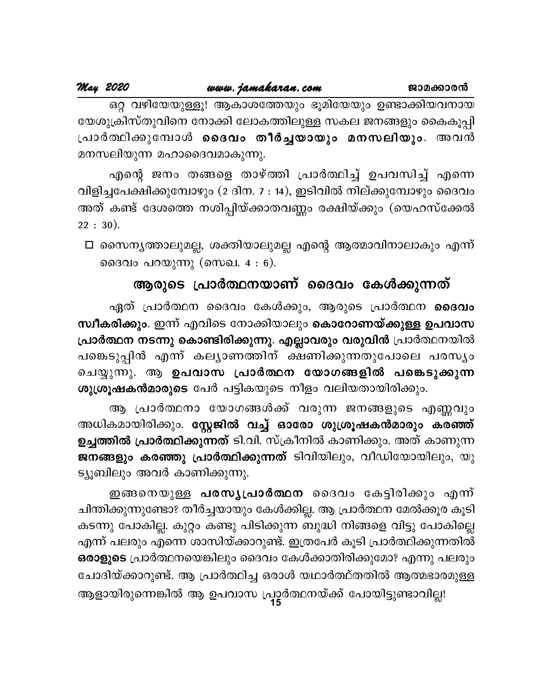ഒറ്റ വഴിയേയുള്ളൂ! ആകാശത്തേയും ഭൂമിയേയും ഉണ്ടാക്കിയവനായ യേശുക്രിസ്തുവിനെ നോക്കി ലോകത്തിലുള്ള സകല ജനങ്ങളും കൈകൂപ്പി പ്രാർത്ഥിക്കുമ്പോൾ <mark>ദൈവം തീർച്ചയായും മനസലിയും</mark>. അവൻ മനസലിയുന്ന മഹാദൈവമാകുന്നു.

എന്റെ ജനം തങ്ങളെ താഴ്ത്തി പ്രാർത്ഥിച്ച് ഉപവസിച്ച് എന്നെ വിളിച്ചപേക്ഷിക്കുമ്പോഴും (2 ദിന. 7 : 14), ഇടിവിൽ നില്ക്കുമ്പോഴും ദൈവം അത് കണ്ട് ദേശത്തെ നശിപ്പിയ്ക്കാതവണ്ണം രക്ഷിയ്ക്കും (യെഹസ്ക്കേൽ  $22:30).$ 

□ സൈന്യത്താലുമല്ല, ശക്തിയാലുമല്ല എന്റെ ആത്മാവിനാലാകും എന്ന് ദൈവം പറയുന്നു (സെഖ. 4 : 6).

## ആരുടെ പ്രാർത്ഥനയാണ് ദൈവം കേൾക്കുന്നത്

ഏത് പ്രാർത്ഥന ദൈവം കേൾക്കും, ആരുടെ പ്രാർത്ഥന **ദൈവം** സ്ഥീകരിക്കും. ഇന്ന് എവിടെ നോക്കിയാലും കൊറോണയ്ക്കുള്ള ഉപവാസ പ്രാർത്ഥന നടന്നു കൊണ്ടിരിക്കുന്നു. എല്ലാവരും വരുവിൻ പ്രാർത്ഥനയിൽ പങ്കെടുപ്പിൻ എന്ന് കല്യാണത്തിന് ക്ഷണിക്കുന്നതുപോലെ പരസ്യം ചെയ്യുന്നു. ആ ഉപവാസ പ്രാർത്ഥന യോഗങ്ങളിൽ പങ്കെടുക്കുന്ന ശുശ്രൂഷകൻമാരുടെ പേർ പട്ടികയുടെ നീളം വലിയതായിരിക്കും.

ആ പ്രാർത്ഥനാ യോഗങ്ങൾക്ക് വരുന്ന ജനങ്ങളുടെ എണ്ണവും അധികമായിരിക്കും. <mark>സ്റ്റേജിൽ വച്ച് ഓരോ ശുശ്രൂഷകൻമാരും കരഞ്ഞ്</mark> ഉച്ചത്തിൽ <mark>പ്രാർത്ഥിക്കുന്നത്</mark> ടി.വി. സ്ക്രീനിൽ കാണിക്കും. അത് കാണുന്ന ജനങ്ങളും കരഞ്ഞു പ്രാർത്ഥിക്കുന്നത് ടിവിയിലും, വീഡിയോയിലും, യു ട്യൂബിലും അവർ കാണിക്കുന്നു.

ഇങ്ങനെയുള്ള പരസൃപ്രാർത്ഥന ദൈവം കേട്ടിരിക്കും എന്ന് ചിന്തിക്കുന്നുണ്ടോ? തീർച്ചയായും കേൾക്കില്ല. ആ പ്രാർത്ഥന മേൽക്കൂര കൂടി കടന്നു പോകില്ല. കുറ്റം കണ്ടു പിടിക്കുന്ന ബുദ്ധി നിങ്ങളെ വിട്ടു പോകില്ല<mark>െ</mark> എന്ന് പലരും എന്നെ ശാസിയ്ക്കാറുണ്ട്. ഇത്രപേർ കൂടി പ്രാർത്ഥിക്കുന്നതിൽ ഒരാളുടെ പ്രാർത്ഥനയെങ്കിലും ദൈവം കേൾക്കാതിരിക്കുമോ? എന്നു പലരും ചോദിയ്ക്കാറുണ്ട്. ആ പ്രാർത്ഥിച്ച ഒരാൾ യഥാർത്ഥ്തതിൽ ആത്മഭാരമുള്ള

ആളായിരുന്നെങ്കിൽ ആ ഉപവാസ പ്രാർത്ഥനയ്ക്ക് പോയിട്ടുണ്ടാവില്ല!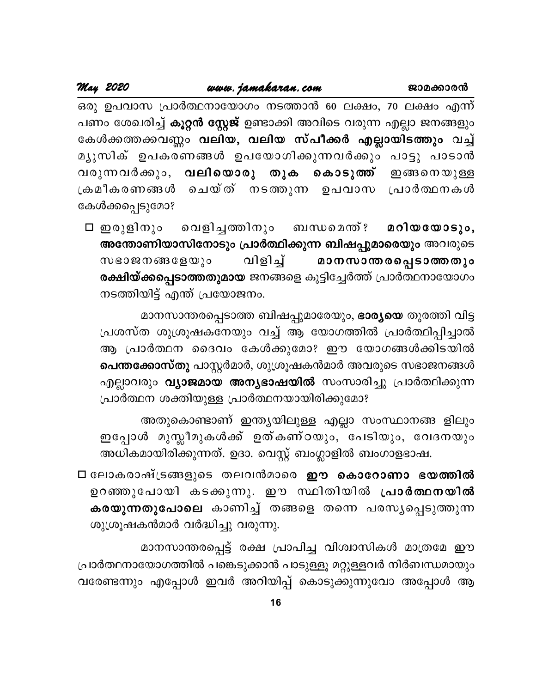May 2020

ഒരു ഉപവാസ പ്രാർത്ഥനായോഗം നടത്താൻ 60 ലക്ഷം, 70 ലക്ഷം എന്ന് പണം ശേഖരിച്ച് <mark>കൂറ്റൻ സ്റ്റേജ്</mark> ഉണ്ടാക്കി അവിടെ വരുന്ന എല്ലാ ജനങ്ങളും കേൾക്കത്തക്കവണ്ണം വലിയ, വലിയ സ്പീക്കർ എല്ലായിടത്തും വച്ച് മൃൂസിക് ഉപകരണങ്ങൾ ഉപയോഗിക്കുന്നവർക്കും പാട്ടു പാടാൻ വരുന്നവർക്കും, വലിയൊരു തുക കൊടുത്ത് ഇങ്ങനെയുള്ള ക്രമീകരണങ്ങൾ ചെയ്ത് നടത്തുന്ന ഉപവാസ പ്രാർത്ഥനകൾ കേൾക്കപ്പെടുമോ?

വെളിച്ചത്തിനും ⊡ ഇരുളിനും ബന്ധമെന്ത് ? മറിയയോടും, അന്തോണിയാസിനോടും പ്രാർത്ഥിക്കുന്ന ബിഷപ്പുമാരെയും അവരുടെ മാനസാന്തരപ്പെടാത്തതും വിളിച്ച് സഭാജനങ്ങളേയും രക്ഷിയ്ക്കപ്പെടാത്തതുമായ ജനങ്ങളെ കൂട്ടിച്ചേർത്ത് പ്രാർത്ഥനായോഗം നടത്തിയിട്ട് എന്ത് പ്രയോജനം.

മാനസാന്തരപ്പെടാത്ത ബിഷപ്പുമാരേയും, ഭാര്യയെ തുരത്തി വിട്ട പ്രശസ്ത ശുശ്രൂഷകനേയും വച്ച് ആ യോഗത്തിൽ പ്രാർത്ഥിപ്പിച്ചാൽ ആ പ്രാർത്ഥന ദൈവം കേൾക്കുമോ? ഈ യോഗങ്ങൾക്കിടയിൽ **പെന്തക്കോസ്തു** പാസ്റ്റർമാർ, ശുശ്രൂഷകൻമാർ അവരുടെ സഭാജനങ്ങൾ എല്ലാവരും **വ്യാജമായ അന്യഭാഷയിൽ** സംസാരിച്ചു പ്രാർത്ഥിക്കുന്ന പ്രാർത്ഥന ശക്തിയുള്ള പ്രാർത്ഥനയായിരിക്കുമോ?

അതുകൊണ്ടാണ് ഇന്ത്യയിലുള്ള എല്ലാ സംസ്ഥാനങ്ങ ളിലും ഇപ്പോൾ മുസ്ലീമുകൾക്ക് ഉത്കണ്ഠയും, പേടിയും, വേദനയും അധികമായിരിക്കുന്നത്. ഉദാ. വെസ്റ്റ് ബംഗ്ലാളിൽ ബംഗാളഭാഷ.

□ ലോകരാഷ്ട്രങ്ങളുടെ തലവൻമാരെ ഈ കൊറോണാ ഭയത്തിൽ ഉറഞ്ഞുപോയി കടക്കുന്നു. ഈ സ്ഥിതിയിൽ പ്രാർത്ഥനയിൽ കരയുന്നതുപോലെ കാണിച്ച് തങ്ങളെ തന്നെ പരസൃപ്പെടുത്തുന്ന ശുശ്രൂഷകൻമാർ വർദ്ധിച്ചു വരുന്നു.

മാനസാന്തരപ്പെട്ട് രക്ഷ പ്രാപിച്ച വിശ്വാസികൾ മാത്രമേ ഈ പ്രാർത്ഥനായോഗത്തിൽ പങ്കെടുക്കാൻ പാടുള്ളൂ മറ്റുള്ളവർ നിർബന്ധമായും വരേണ്ടന്നും എപ്പോൾ ഇവർ അറിയിപ്പ് കൊടുക്കുന്നുവോ അപ്പോൾ ആ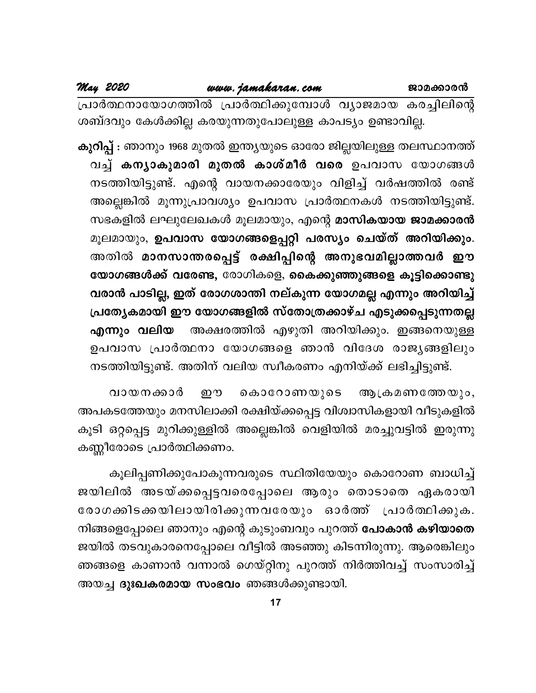പ്രാർത്ഥനായോഗത്തിൽ പ്രാർത്ഥിക്കുമ്പോൾ വ്യാജമായ കരച്ചിലിന്റെ ശബ്ദവും കേൾക്കില്ല കരയുന്നതുപോലുള്ള കാപട്യം ഉണ്ടാവില്ല.

**കുറിപ്പ് :** ഞാനും 1968 മുതൽ ഇന്ത്യയുടെ ഓരോ ജില്ലയിലുള്ള തലസ്ഥാനത്ത് വച്ച് കന്യാകുമാരി മുതൽ കാശ്മീർ വരെ ഉപവാസ യോഗങ്ങൾ നടത്തിയിട്ടുണ്ട്. എന്റെ വായനക്കാരേയും വിളിച്ച് വർഷത്തിൽ രണ്ട് അല്ലെങ്കിൽ മൂന്നുപ്രാവശ്യം ഉപവാസ പ്രാർത്ഥനകൾ നടത്തിയിട്ടുണ്ട്. സഭകളിൽ ലഘുലേഖകൾ മൂലമായും, എന്റെ മാസികയായ ജാമക്കാരൻ മൂലമായും, ഉപവാസ യോഗങ്ങളെപ്പറ്റി പരസ്യം ചെയ്ത് അറിയിക്കും. അതിൽ മാനസാന്തരപ്പെട്ട് രക്ഷിപ്പിന്റെ അനുഭവമില്ലാത്തവർ ഈ യോഗങ്ങൾക്ക് വരേണ്ട, രോഗികളെ, കൈക്കുഞ്ഞുങ്ങളെ കൂട്ടിക്കൊണ്ടു വരാൻ പാടില്ല, ഇത് രോഗശാന്തി നല്കുന്ന യോഗമല്ല എന്നും അറിയിച്ച് പ്രത്യേകമായി ഈ യോഗങ്ങളിൽ സ്തോത്രക്കാഴ്ച എടുക്കപ്പെടുന്നതല്ല അക്ഷരത്തിൽ എഴുതി അറിയിക്കും. ഇങ്ങനെയുള്ള എന്നും വലിയ ഉപവാസ പ്രാർത്ഥനാ യോഗങ്ങളെ ഞാൻ വിദേശ രാജ്യങ്ങളിലും നടത്തിയിട്ടുണ്ട്. അതിന് വലിയ സ്വീകരണം എനിയ്ക്ക് ലഭിച്ചിട്ടുണ്ട്.

വായനക്കാർ ஹு കൊറോണയുടെ ആ ക്രമണത്തേയും, അപകടത്തേയും മനസിലാക്കി രക്ഷിയ്ക്കപ്പെട്ട വിശ്വാസികളായി വീടുകളിൽ കൂടി ഒറ്റപ്പെട്ട മുറിക്കുള്ളിൽ അല്ലെങ്കിൽ വെളിയിൽ മരച്ചുവട്ടിൽ ഇരുന്നു കണ്ണീരോടെ പ്രാർത്ഥിക്കണം.

കൂലിപ്പണിക്കുപോകുന്നവരുടെ സ്ഥിതിയേയും കൊറോണ ബാധിച്ച് ജയിലിൽ അടയ്ക്കപ്പെട്ടവരെപ്പോലെ ആരും തൊടാതെ ഏകരായി രോഗക്കിടക്കയിലായിരിക്കുന്നവരേയും ഓർത്ത് പ്രാർത്ഥിക്കുക. നിങ്ങളെപ്പോലെ ഞാനും എന്റെ കുടുംബവും പുറത്ത് **പോകാൻ കഴിയാതെ** ജയിൽ തടവുകാരനെപ്പോലെ വീട്ടിൽ അടഞ്ഞു കിടന്നിരുന്നു. ആരെങ്കിലും ഞങ്ങളെ കാണാൻ വന്നാൽ ഗെയ്റ്റിനു പുറത്ത് നിർത്തിവച്ച് സംസാരിച്ച് അയച്ച ദുഃഖകരമായ സംഭവം ഞങ്ങൾക്കുണ്ടായി.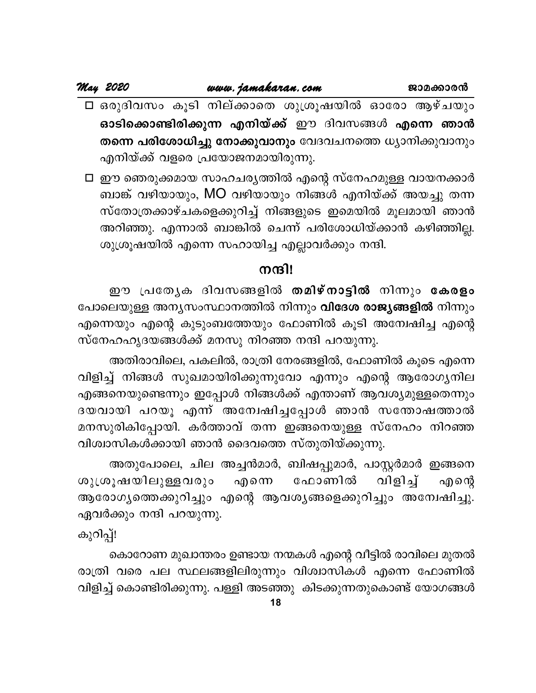□ ഒരുദിവസം കൂടി നില്ക്കാതെ ശുശ്രൂഷയിൽ ഓരോ ആഴ്ചയും ഓടിക്കൊണ്ടിരിക്കുന്ന എനിയ്ക്ക് ഈ ദിവസങ്ങൾ എന്നെ ഞാൻ തന്നെ പരിശോധിച്ചു നോക്കുവാനും വേദവചനത്തെ ധ്യാനിക്കുവാനും എനിയ്ക്ക് വളരെ പ്രയോജനമായിരുന്നു.

□ ഈ ഞെരുക്കമായ സാഹചര്യത്തിൽ എന്റെ സ്നേഹമുള്ള വായനക്കാർ ബാങ്ക് വഴിയായും, MO വഴിയായും നിങ്ങൾ എനിയ്ക്ക് അയച്ചു തന്ന സ്തോത്രക്കാഴ്ചകളെക്കുറിച്ച് നിങ്ങളുടെ ഇമെയിൽ മൂലമായി ഞാൻ അറിഞ്ഞു. എന്നാൽ ബാങ്കിൽ ചെന്ന് പരിശോധിയ്ക്കാൻ കഴിഞ്ഞില്ല. ശുശ്രൂഷയിൽ എന്നെ സഹായിച്ച എല്ലാവർക്കും നന്ദി.

### നന്ദി!

ഈ പ്രത്യേക ദിവസങ്ങളിൽ <mark>തമിഴ്നാട്ടിൽ</mark> നിന്നും <mark>കേരളം</mark> പോലെയുള്ള അന്യസംസ്ഥാനത്തിൽ നിന്നും **വിദേശ രാജ്യങ്ങളിൽ** നിന്നും എന്നെയും എന്റെ കുടുംബത്തേയും ഫോണിൽ കൂടി അന്വേഷിച്ച എന്റെ സ്നേഹഹൃദയങ്ങൾക്ക് മനസു നിറഞ്ഞ നന്ദി പറയുന്നു.

അതിരാവിലെ, പകലിൽ, രാത്രി നേരങ്ങളിൽ, ഫോണിൽ കൂടെ എന്നെ വിളിച്ച് നിങ്ങൾ സുഖമായിരിക്കുന്നുവോ എന്നും എന്റെ ആരോഗ്യനില എങ്ങനെയുണ്ടെന്നും ഇപ്പോൾ നിങ്ങൾക്ക് എന്താണ് ആവശ്യമുള്ളതെന്നും ദയവായി പറയൂ എന്ന് അന്വേഷിച്ചപ്പോൾ ഞാൻ സന്തോഷത്താൽ മനസുരികിപ്പോയി. കർത്താവ് തന്ന ഇങ്ങനെയുള്ള സ്നേഹം നിറഞ്ഞ വിശ്വാസികൾക്കായി ഞാൻ ദൈവത്തെ സ്തുതിയ്ക്കുന്നു.

അതുപോലെ, ചില അച്ചൻമാർ, ബിഷപ്പുമാർ, പാസ്റ്റർമാർ ഇങ്ങനെ ശുശൂഷയിലുള്ളവരും ഫോണിൽ വിളിച്ച് എനെ എന്റെ ആരോഗ്യത്തെക്കുറിച്ചും എന്റെ ആവശ്യങ്ങളെക്കുറിച്ചും അന്വേഷിച്ചു. ഏവർക്കും നന്ദി പറയുന്നു.

കുറിപ്പ്!

കൊറോണ മുഖാന്തരം ഉണ്ടായ നന്മകൾ എന്റെ വീട്ടിൽ രാവിലെ മുതൽ രാത്രി വരെ പല സ്ഥലങ്ങളിലിരുന്നും വിശ്വാസികൾ എന്നെ ഫോണിൽ വിളിച്ച് കൊണ്ടിരിക്കുന്നു. പള്ളി അടഞ്ഞു കിടക്കുന്നതുകൊണ്ട് യോഗങ്ങൾ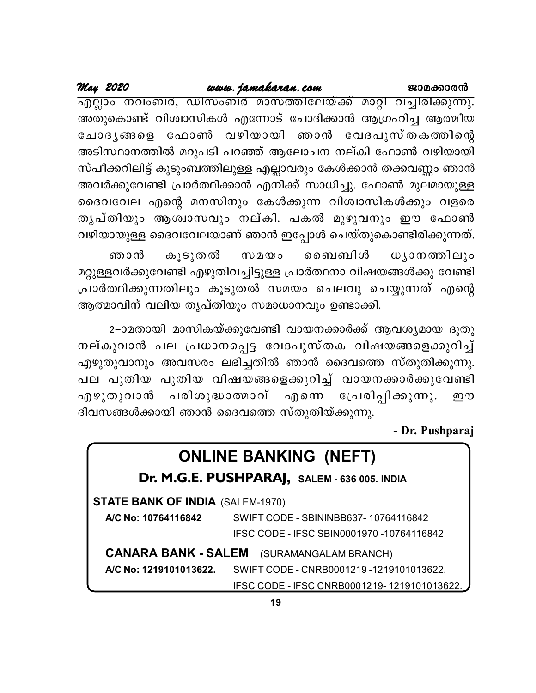## www.jamakaran.com

May 2020

<u>എല്ലാം നവംബർ, ഡിസംബർ മാസത്തിലേയ്ക്ക് മാറ്റി വച്ചിരിക്കുന്നു.</u> അതുകൊണ്ട് വിശ്വാസികൾ എന്നോട് ചോദിക്കാൻ ആഗ്രഹിച്ച ആത്മീയ ചോദൃങ്ങളെ ഫോൺ വഴിയായി ഞാൻ വേദപുസ്തകത്തിന്റെ അടിസ്ഥാനത്തിൽ മറുപടി പറഞ്ഞ് ആലോചന നല്കി ഫോൺ വഴിയായി സ്പീക്കറിലിട്ട് കുടുംബത്തിലുള്ള എല്ലാവരും കേൾക്കാൻ തക്കവണ്ണം ഞാൻ അവർക്കുവേണ്ടി പ്രാർത്ഥിക്കാൻ എനിക്ക് സാധിച്ചു. ഫോൺ മൂലമായുള്ള ദൈവവേല എന്റെ മനസിനും കേൾക്കുന്ന വിശ്വാസികൾക്കും വളരെ തൃപ്തിയും ആശ്വാസവും നല്കി. പകൽ മുഴുവനും ഈ ഫോൺ വഴിയായുള്ള ദൈവവേലയാണ് ഞാൻ ഇപ്പോൾ ചെയ്തുകൊണ്ടിരിക്കുന്നത്.

ധ്യാനത്തിലും ഞാൻ കൂടുതൽ ബൈബിൾ  $w$ 20 മറ്റുള്ളവർക്കുവേണ്ടി എഴുതിവച്ചിട്ടുള്ള പ്രാർത്ഥനാ വിഷയങ്ങൾക്കു വേണ്ടി പ്രാർത്ഥിക്കുന്നതിലും കൂടുതൽ സമയം ചെലവു ചെയ്യുന്നത് എന്റെ ആത്മാവിന് വലിയ തൃപ്തിയും സമാധാനവും ഉണ്ടാക്കി.

2–ാമതായി മാസികയ്ക്കുവേണ്ടി വായനക്കാർക്ക് ആവശ്യമായ ദൂതു നല്കുവാൻ പല പ്രധാനപ്പെട്ട വേദപുസ്തക വിഷയങ്ങളെക്കുറിച്ച് എഴുതുവാനും അവസരം ലഭിച്ചതിൽ ഞാൻ ദൈവത്തെ സ്തുതിക്കുന്നു. പല പുതിയ പുതിയ വിഷയങ്ങളെക്കുറിച്ച് വായനക്കാർക്കുവേണ്ടി എഴുതുവാൻ പരിശുദ്ധാത്മാവ് എന്നെ പ്രേരിപ്പിക്കുന്നു. றை ദിവസങ്ങൾക്കായി ഞാൻ ദൈവത്തെ സ്തുതിയ്ക്കുന്നു.

- Dr. Pushparaj

| <b>ONLINE BANKING (NEFT)</b>                     |                                                                 |  |  |  |  |  |  |  |
|--------------------------------------------------|-----------------------------------------------------------------|--|--|--|--|--|--|--|
| Dr. M.G.E. PUSHPARAJ, SALEM - 636 005. INDIA     |                                                                 |  |  |  |  |  |  |  |
| <b>STATE BANK OF INDIA (SALEM-1970)</b>          |                                                                 |  |  |  |  |  |  |  |
| A/C No: 10764116842                              | SWIFT CODE - SBININBB637-10764116842                            |  |  |  |  |  |  |  |
|                                                  | IFSC CODE - IFSC SBIN0001970 -10764116842                       |  |  |  |  |  |  |  |
| <b>CANARA BANK - SALEM</b> (SURAMANGALAM BRANCH) |                                                                 |  |  |  |  |  |  |  |
|                                                  | A/C No: 1219101013622. SWIFT CODE - CNRB0001219 -1219101013622. |  |  |  |  |  |  |  |
|                                                  | IFSC CODE - IFSC CNRB0001219-1219101013622.                     |  |  |  |  |  |  |  |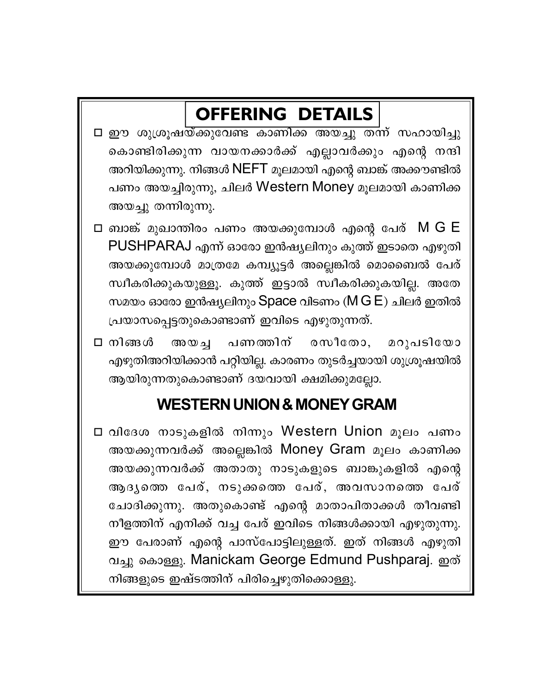## **OFFERING DETAILS**

- □ ഈ ശുശ്രൂഷയ്ക്കുവേണ്ട കാണിക്ക അയച്ചു തന്ന് സഹായിച്ചു കൊണ്ടിരിക്കുന്ന വായനക്കാർക്ക് എല്ലാവർക്കും എന്റെ നന്ദി അറിയിക്കുന്നു. നിങ്ങൾ NEFT മൂലമായി എന്റെ ബാങ്ക് അക്കൗണ്ടിൽ പണം അയച്ചിരുന്നു, ചിലർ Western Money മൂലമായി കാണിക്ക അയച്ചു തന്നിരുന്നു.
- $\Box$  ബാങ്ക് മുഖാന്തിരം പണം അയക്കുമ്പോൾ എന്റെ പേര്  $\rm\,M~G~E$ PUSHPARAJ എന്ന് ഓരോ ഇൻഷ്യലിനും കുത്ത് ഇടാതെ എഴുതി അയക്കുമ്പോൾ മാത്രമേ കമ്പ്യൂട്ടർ അല്ലെങ്കിൽ മൊബൈൽ പേര് സ്വീകരിക്കുകയുള്ളൂ. കുത്ത് ഇട്ടാൽ സ്വീകരിക്കുകയില്ല. അതേ സമയം ഓരോ ഇൻഷ്യലിനും Space വിടണം ( $M G E$ ) ചിലർ ഇതിൽ പ്രയാസപ്പെട്ടതുകൊണ്ടാണ് ഇവിടെ എഴുതുന്നത്.
- രസീതോ. മറുപടിയോ □ നിങ്ങൾ അയച പണ*ത്തി*ന് എഴുതിഅറിയിക്കാൻ പറ്റിയില്ല. കാരണം തുടർച്ചയായി ശുശ്രൂഷയിൽ ആയിരുന്നതുകൊണ്ടാണ് ദയവായി ക്ഷമിക്കുമല്ലോ.

## **WESTERN UNION & MONEY GRAM**

□ വിദേശ നാടുകളിൽ നിന്നും Western Union മൂലം പണം അയക്കുന്നവർക്ക് അല്ലെങ്കിൽ Money Gram മൂലം കാണിക്ക അയക്കുന്നവർക്ക് അതാതു നാടുകളുടെ ബാങ്കുകളിൽ എന്റെ ആദൃത്തെ പേര്, നടുക്കത്തെ പേര്, അവസാനത്തെ പേര് ചോദിക്കുന്നു. അതുകൊണ്ട് എന്റെ മാതാപിതാക്കൾ തീവണ്ടി നീളത്തിന് എനിക്ക് വച്ച പേര് ഇവിടെ നിങ്ങൾക്കായി എഴുതുന്നു. ഈ പേരാണ് എന്റെ പാസ്പോട്ടിലുള്ളത്. ഇത് നിങ്ങൾ എഴുതി വച്ചു കൊള്ളു. Manickam George Edmund Pushparaj. ഇത് നിങ്ങളുടെ ഇഷ്ടത്തിന് പിരിച്ചെഴുതിക്കൊള്ളു.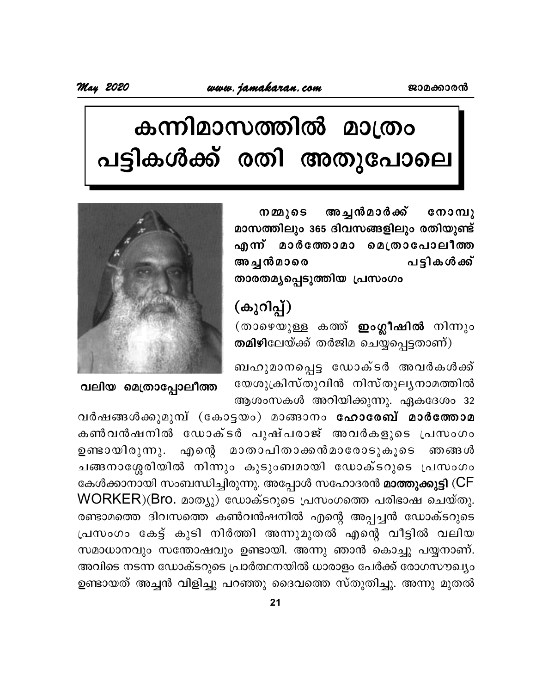# കന്നിമാസത്തിൽ മാത്രം പട്ടികൾക്ക് രതി അതുപോലെ

അച്ചൻമാർക്ക് നമ്മുടെ മാസത്തിലും 365 ദിവസങ്ങളിലും രതിയുണ്ട് എന്ന് മാർത്തോമാ മെത്രാപോലീത്ത പട്ടികൾക്ക് അച്ചൻമാരെ താരതമൃപ്പെടുത്തിയ പ്രസംഗം

## (കുറിപ്പ്)

(താഴെയുള്ള കത്ത് **ഇംഗ്ലീഷിൽ** നിന്നും തമിഴിലേയ്ക്ക് തർജിമ ചെയ്യപ്പെട്ടതാണ്)

ബഹുമാനപ്പെട്ട ഡോക്ടർ അവർകൾക്ക് യേശുക്രിസ്തുവിൻ നിസ്തുലൃനാമത്തിൽ ആശംസകൾ അറിയിക്കുന്നു. ഏകദേശം 32



വലിയ മെത്രാപ്പോലീത്ത

വർഷങ്ങൾക്കുമുമ്പ് (കോട്ടയം) മാങ്ങാനം ഹോരേബ് മാർത്തോമ കൺവൻഷനിൽ ഡോക്ടർ പുഷ്പരാജ് അവർകളുടെ പ്രസംഗം ഉണ്ടായിരുന്നു. എന്റെ മാതാപിതാക്കൻമാരോടുകൂടെ ഞങ്ങൾ ചങ്ങനാശ്ശേരിയിൽ നിന്നും കുടുംബമായി ഡോക്ടറുടെ പ്രസംഗം കേൾക്കാനായി സംബന്ധിച്ചിരുന്നു. അപ്പോൾ സഹോദരൻ മാ<mark>ത്തുക്കുട്ടി</mark> (CF WORKER)(Bro. മാത്യു) ഡോക്ടറുടെ പ്രസംഗത്തെ പരിഭാഷ ചെയ്തു. രണ്ടാമത്തെ ദിവസത്തെ കൺവൻഷനിൽ എന്റെ അപ്പച്ചൻ ഡോക്ടറുടെ പ്രസംഗം കേട്ട് കുടി നിർത്തി അന്നുമുതൽ എന്റെ വീട്ടിൽ വലിയ സമാധാനവും സന്തോഷവും ഉണ്ടായി. അന്നു ഞാൻ കൊച്ചു പയ്യനാണ്. അവിടെ നടന്ന ഡോക്ടറുടെ പ്രാർത്ഥനയിൽ ധാരാളം പേർക്ക് രോഗസൗഖ്യം ഉണ്ടായത് അച്ചൻ വിളിച്ചു പറഞ്ഞു ദൈവത്തെ സ്തുതിച്ചു. അന്നു മുതൽ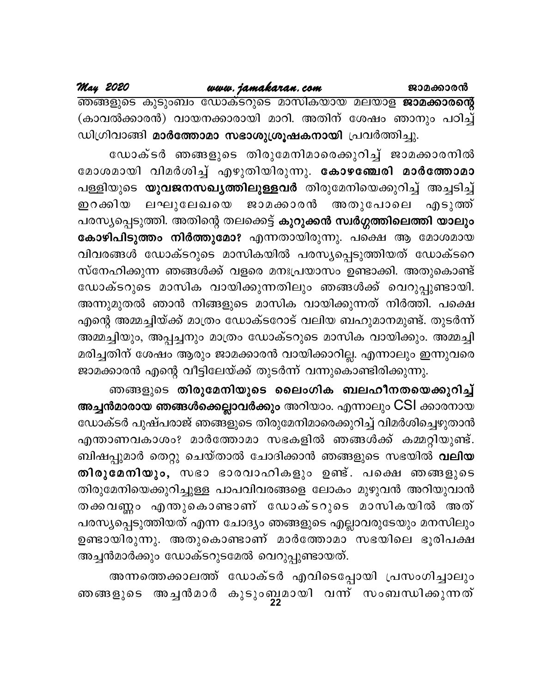| ജാമക്കാരന്ദ |  |  |  |
|-------------|--|--|--|
|             |  |  |  |

May 2020

<u>ഞങ്ങളുടെ കുടുംബം ഡോക്ടറുടെ മാസികയായ മലയാള **ജാമക്കാരന്റെ**</u> (കാവൽക്കാരൻ) വായനക്കാരായി മാറി. അതിന് ശേഷം ഞാനും പഠിച്ച് ഡിഗ്രിവാങ്ങി മാർത്തോമാ സഭാശുശ്രൂഷകനായി പ്രവർത്തിച്ചു.

ഡോക്ടർ ഞങ്ങളുടെ തിരുമേനിമാരെക്കുറിച്ച് ജാമക്കാരനിൽ മോശമായി വിമർശിച്ച് എഴുതിയിരുന്നു. കോഴഞ്ചേരി മാർത്തോമാ പള്ളിയുടെ **യുവജനസഖ്യത്തിലുള്ളവർ** തിരുമേനിയെക്കുറിച്ച് അച്ചടിച്ച് ഇറക്കിയ ലഘുലേഖയെ ജാമക്കാരൻ അതുപോലെ എടുത്ത് പരസ്യപ്പെടുത്തി. അതിന്റെ തലക്കെട്ട് കുറുക്കൻ സ്വർഗ്ഗത്തിലെത്തി യാലും കോഴിപിടുത്തം നിർത്തുമോ? എന്നതായിരുന്നു. പക്ഷെ ആ മോശമായ വിവരങ്ങൾ ഡോക്ടറുടെ മാസികയിൽ പരസ്യപ്പെടുത്തിയത് ഡോക്ടറെ സ്നേഹിക്കുന്ന ഞങ്ങൾക്ക് വളരെ മനഃപ്രയാസം ഉണ്ടാക്കി. അതുകൊണ്ട് ഡോക്ടറുടെ മാസിക വായിക്കുന്നതിലും ഞങ്ങൾക്ക് വെറുപ്പുണ്ടായി. അന്നുമുതൽ ഞാൻ നിങ്ങളുടെ മാസിക വായിക്കുന്നത് നിർത്തി. പക്ഷെ എന്റെ അമ്മച്ചിയ്ക്ക് മാത്രം ഡോക്ടറോട് വലിയ ബഹുമാനമുണ്ട്. തുടർന്ന് അമ്മച്ചിയും, അപ്പച്ചനും മാത്രം ഡോക്ടറുടെ മാസിക വായിക്കും. അമ്മച്ചി മരിച്ചതിന് ശേഷം ആരും ജാമക്കാരൻ വായിക്കാറില്ല. എന്നാലും ഇന്നുവരെ ജാമക്കാരൻ എന്റെ വീട്ടിലേയ്ക്ക് തുടർന്ന് വന്നുകൊണ്ടിരിക്കുന്നു.

ഞങ്ങളുടെ തിരുമേനിയുടെ ലൈംഗിക ബലഹീനതയെക്കുറിച്ച് അച്ചൻമാരായ ഞങ്ങൾക്കെല്ലാവർക്കും അറിയാം. എന്നാലും CSI ക്കാരനായ ഡോക്ടർ പുഷ്പരാജ് ഞങ്ങളുടെ തിരുമേനിമാരെക്കുറിച്ച് വിമർശിച്ചെഴുതാൻ എന്താണവകാശം? മാർത്തോമാ സഭകളിൽ ഞങ്ങൾക്ക് കമ്മറ്റിയുണ്ട്. ബിഷപ്പുമാർ തെറ്റു ചെയ്താൽ ചോദിക്കാൻ ഞങ്ങളുടെ സഭയിൽ **വലിയ** തിരുമേനിയും, സഭാ ഭാരവാഹികളും ഉണ്ട്. പക്ഷെ ഞങ്ങളുടെ തിരുമേനിയെക്കുറിച്ചുള്ള പാപവിവരങ്ങളെ ലോകം മുഴുവൻ അറിയുവാൻ തക്കവണ്ണം എന്തുകൊണ്ടാണ് ഡോക്ടറുടെ മാസികയിൽ അത് പരസ്യപ്പെടുത്തിയത് എന്ന ചോദ്യം ഞങ്ങളുടെ എല്ലാവരുടേയും മനസിലും ഉണ്ടായിരുന്നു. അതുകൊണ്ടാണ് മാർത്തോമാ സഭയിലെ ഭൂരിപക്ഷ അച്ചൻമാർക്കും ഡോക്ടറുടമേൽ വെറുപ്പുണ്ടായത്.

അന്നത്തെക്കാലത്ത് ഡോക്ടർ എവിടെപ്പോയി പ്രസംഗിച്ചാലും ഞങ്ങളുടെ അച്ചൻമാർ കുടുംബമായി വന്ന് സംബന്ധിക്കുന്നത്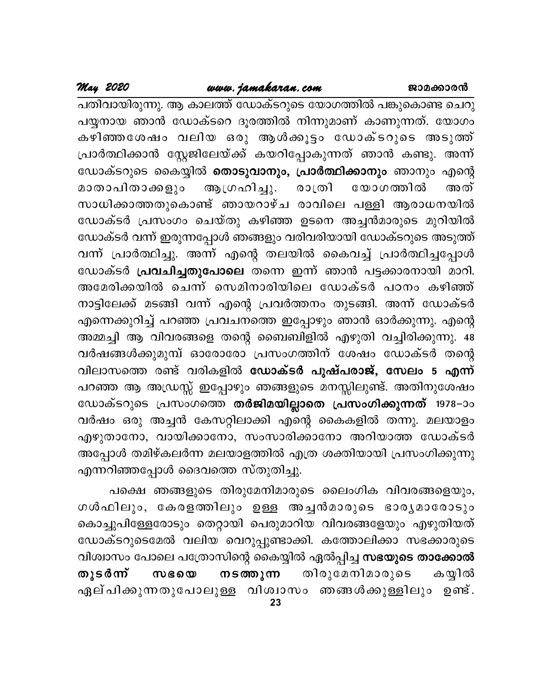### www.jamakaran.com

പതിവായിരുന്നു. ആ കാലത്ത് ഡോക്ടറുടെ യോഗത്തിൽ പങ്കുകൊണ്ട ചെറു പയ്യനായ ഞാൻ ഡോക്ടറെ ദൂരത്തിൽ നിന്നുമാണ് കാണുന്നത്. യോഗം കഴിഞ്ഞശേഷം വലിയ ഒരു ആൾക്കൂട്ടം ഡോക്ടറുടെ അടുത്ത് പ്രാർത്ഥിക്കാൻ സ്റ്റേജിലേയ്ക്ക് കയറിപ്പോകുന്നത് ഞാൻ കണ്ടു. അന്ന് ഡോക്ടറുടെ കൈയ്യിൽ **തൊടുവാനും, പ്രാർത്ഥിക്കാനും** ഞാനും എന്റെ മാതാപിതാക്കളും ആഗ്രഹിച്ചു. രാത്രി യോഗത്തിൽ അത് സാധിക്കാത്തതുകൊണ്ട് ഞായറാഴ്ച രാവിലെ പള്ളി ആരാധനയിൽ ഡോക്ടർ പ്രസംഗം ചെയ്തു കഴിഞ്ഞ ഉടനെ അച്ചൻമാരുടെ മുറിയിൽ ഡോക്ടർ വന്ന് ഇരുന്നപ്പോൾ ഞങ്ങളും വരിവരിയായി ഡോക്ടറുടെ അടുത്ത് വന്ന് പ്രാർത്ഥിച്ചു. അന്ന് എന്റെ തലയിൽ കൈവച്ച് പ്രാർത്ഥിച്ചപ്പോൾ ഡോക്ടർ **പ്രവചിച്ചതുപോലെ** തന്നെ ഇന്ന് ഞാൻ പട്ടക്കാരനായി മാറി. അമേരിക്കയിൽ ചെന്ന് സെമിനാരിയിലെ ഡോക്ടർ പഠനം കഴിഞ്ഞ് നാട്ടിലേക്ക് മടങ്ങി വന്ന് എന്റെ പ്രവർത്തനം തുടങ്ങി. അന്ന് ഡോക്ടർ എന്നെക്കുറിച്ച് പറഞ്ഞ പ്രവചനത്തെ ഇപ്പോഴും ഞാൻ ഓർക്കുന്നു. എന്റെ അമ്മച്ചി ആ വിവരങ്ങളെ തന്റെ ബൈബിളിൽ എഴുതി വച്ചിരിക്കുന്നു. 48 വർഷങ്ങൾക്കുമുമ്പ് ഓരോരോ പ്രസംഗത്തിന് ശേഷം ഡോക്ടർ തന്റെ വിലാസത്തെ രണ്ട് വരികളിൽ ഡോക്ടർ പുഷ്പരാജ്, സേലം 5 എന്ന് പറഞ്ഞ ആ അഡ്രസ്സ് ഇപ്പോഴും ഞങ്ങളുടെ മനസ്സിലുണ്ട്. അതിനുശേഷം ഡോക്ടറുടെ പ്രസംഗത്തെ തർജിമയില്ലാതെ പ്രസംഗിക്കുന്നത് 1978–ാം വർഷം ഒരു അച്ചൻ കേസറ്റിലാക്കി എന്റെ കൈകളിൽ തന്നു. മലയാളം എഴുതാനോ, വായിക്കാനോ, സംസാരിക്കാനോ അറിയാത്ത ഡോക്ടർ അപ്പോൾ തമിഴ്കലർന്ന മലയാളത്തിൽ എത്ര ശക്തിയായി പ്രസംഗിക്കുന്നു എന്നറിഞ്ഞപ്പോൾ ദൈവത്തെ സ്തുതിച്ചു.

പക്ഷെ ഞങ്ങളുടെ തിരുമേനിമാരുടെ ലൈംഗിക വിവരങ്ങളെയും, ഗൾഫിലും, കേരളത്തിലും ഉള്ള അച്ചൻമാരുടെ ഭാരൃമാരോടും കൊച്ചുപിള്ളേരോടും തെറ്റായി പെരുമാറിയ വിവരങ്ങളേയും എഴുതിയത് ഡോക്ടറുടെമേൽ വലിയ വെറുപ്പുണ്ടാക്കി. കത്തോലിക്കാ സഭക്കാരുടെ വിശ്വാസം പോലെ പത്രോസിന്റെ കൈയ്യിൽ ഏൽപ്പിച്ച <mark>സഭയുടെ താക്കോൽ</mark> തുടർന്ന് ന ട*ത്ത*ുന്ന തിരുമേനിമാരുടെ കയ്യിൽ സഭയെ ഏല് പിക്കുന്നതുപോലുള്ള വിശ്വാസം ഞങ്ങൾക്കുള്ളിലും ഉണ്ട്. 23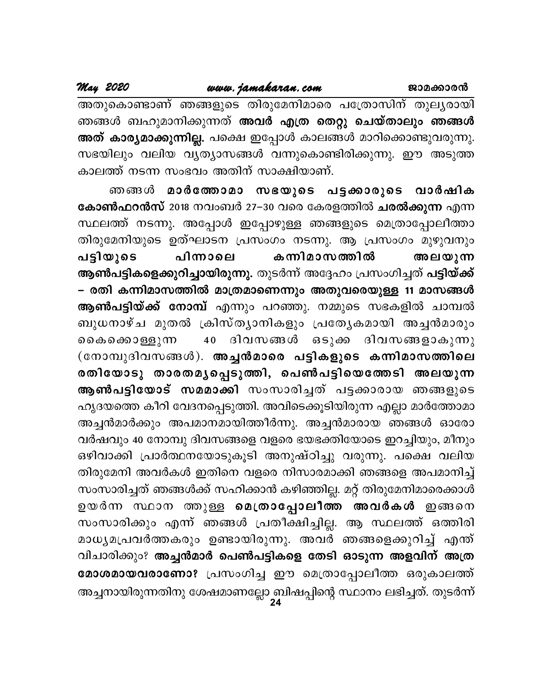അതുകൊണ്ടാണ് ഞങ്ങളുടെ തിരുമേനിമാരെ പത്രോസിന് തുലൃരായി ഞങ്ങൾ ബഹുമാനിക്കുന്നത് <mark>അവർ എത്ര തെറ്റു ചെയ്താലും ഞങ്ങൾ</mark> അത് കാര്യമാക്കുന്നില്ല. പക്ഷെ ഇപ്പോൾ കാലങ്ങൾ മാറിക്കൊണ്ടുവരുന്നു. സഭയിലും വലിയ വൃത്യാസങ്ങൾ വന്നുകൊണ്ടിരിക്കുന്നു. ഈ അടുത്ത കാലത്ത് നടന്ന സംഭവം അതിന് സാക്ഷിയാണ്.

ഞങ്ങൾ മാർത്തോമാ സഭയുടെ പട്ടക്കാരുടെ വാർഷിക കോൺഫറൻസ് 2018 നവംബർ 27–30 വരെ കേരളത്തിൽ <mark>ചരൽക്കുന്ന</mark> എന്ന സ്ഥലത്ത് നടന്നു. അപ്പോൾ ഇപ്പോഴുള്ള ഞങ്ങളുടെ മെത്രാപ്പോലീത്താ തിരുമേനിയുടെ ഉത്ഘാടന പ്രസംഗം നടന്നു. ആ പ്രസംഗം മുഴുവനും പിന്നാലെ കന്നിമാസത്തിൽ പട്ടിയുടെ അലയുന്ന ആൺപട്ടികളെക്കുറിച്ചായിരുന്നു. തുടർന്ന് അദ്ദേഹം പ്രസംഗിച്ചത് പട്ടിയ്ക്ക് – രതി കന്നിമാസത്തിൽ മാത്രമാണെന്നും അതുവരെയുള്ള 11 മാസങ്ങൾ **ആൺപട്ടിയ്ക്ക് നോമ്പ്** എന്നും പറഞ്ഞു. നമ്മുടെ സഭകളിൽ ചാമ്പൽ ബുധനാഴ്ച മുതൽ ക്രിസ്ത്യാനികളും പ്രത്യേകമായി അച്ചൻമാരും 40 ദിവസങ്ങൾ ഒടുക്ക ദിവസങ്ങളാകുന്നു ൈകകൊള്ളുന്ന (നോമ്പുദിവസങ്ങൾ). അച്ചൻമാരെ പട്ടികളുടെ കന്നിമാസത്തിലെ രതിയോടു താരതമൃപ്പെടുത്തി, പെൺപട്ടിയെത്തേടി അലയുന്ന <mark>ആൺപട്ടിയോട് സമമാക്കി</mark> സംസാരിച്ചത് പട്ടക്കാരായ ഞങ്ങളുടെ ഹൃദയത്തെ കീറി വേദനപ്പെടുത്തി. അവിടെക്കൂടിയിരുന്ന എല്ലാ മാർത്തോമാ അച്ചൻമാർക്കും അപമാനമായിത്തീർന്നു. അച്ചൻമാരായ ഞങ്ങൾ ഓരോ വർഷവും 40 നോമ്പു ദിവസങ്ങളെ വളരെ ഭയഭക്തിയോടെ ഇറച്ചിയും, മീനും ഒഴിവാക്കി പ്രാർത്ഥനയോടുകൂടി അനുഷ്ഠിച്ചു വരുന്നു. പക്ഷെ വലിയ തിരുമേനി അവർകൾ ഇതിനെ വളരെ നിസാരമാക്കി ഞങ്ങളെ അപമാനിച്ച് സംസാരിച്ചത് ഞങ്ങൾക്ക് സഹിക്കാൻ കഴിഞ്ഞില്ല. മറ്റ് തിരുമേനിമാരെക്കാൾ ഉയർന്ന സ്ഥാന ത്തുള്ള മെത്രാപ്പോലീത്ത അവർകൾ ഇങ്ങനെ സംസാരിക്കും എന്ന് ഞങ്ങൾ പ്രതീക്ഷിച്ചില്ല. ആ സ്ഥലത്ത് ഒത്തിരി മാധൃമപ്രവർത്തകരും ഉണ്ടായിരുന്നു. അവർ ഞങ്ങളെക്കുറിച്ച് എന്ത് വിചാരിക്കും? അച്ചൻമാർ പെൺപട്ടികളെ തേടി ഓടുന്ന അളവിന് അത്ര മോശമായവരാണോ? പ്രസംഗിച്ച ഈ മെത്രാപ്പോലീത്ത ഒരുകാലത്ത് അച്ചനായിരുന്നതിനു ശേഷമാണല്ലോ ബിഷപ്പിന്റെ സ്ഥാനം ലഭിച്ചത്. തുടർന്ന്<br>24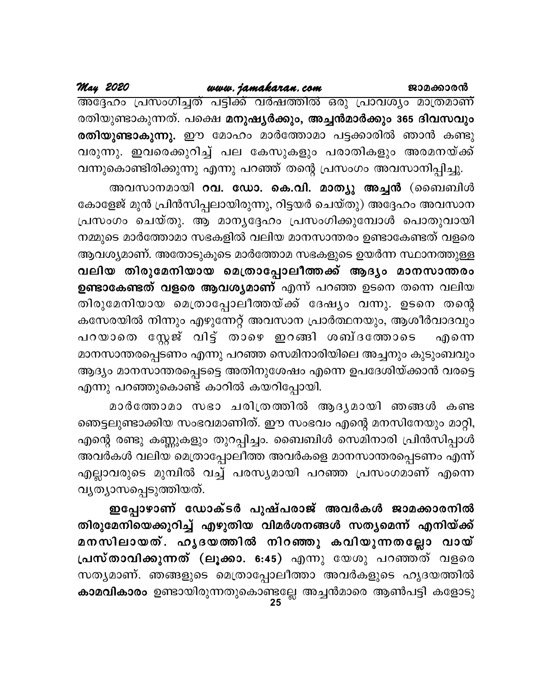## www.jamakaran.com

May 2020

അദ്ദേഹം പ്രസംഗിച്ചത് പട്ടിക്ക് വർഷത്തിൽ ഒരു പ്രാവശ്യം മാത്രമാണ് രതിയുണ്ടാകുന്നത്. പക്ഷെ മനുഷ്യർക്കും, അച്ചൻമാർക്കും 365 ദിവസവും രതിയുണ്ടാകുന്നു. ഈ മോഹം മാർത്തോമാ പട്ടക്കാരിൽ ഞാൻ കണ്ടു വരുന്നു. ഇവരെക്കുറിച്ച് പല കേസുകളും പരാതികളും അരമനയ്ക്ക് വന്നുകൊണ്ടിരിക്കുന്നു എന്നു പറഞ്ഞ് തന്റെ പ്രസംഗം അവസാനിപ്പിച്ചു.

അവസാനമായി റവ. ഡോ. കെ.വി. മാത്യു അച്ചൻ (ബൈബിൾ കോളേജ് മുൻ പ്രിൻസിപ്പലായിരുന്നു, റിട്ടയർ ചെയ്തു) അദ്ദേഹം അവസാന പ്രസംഗം ചെയ്തു. ആ മാനൃദ്ദേഹം പ്രസംഗിക്കുമ്പോൾ പൊതുവായി നമ്മുടെ മാർത്തോമാ സഭകളിൽ വലിയ മാനസാന്തരം ഉണ്ടാകേണ്ടത് വളരെ ആവശ്യമാണ്. അതോടുകൂടെ മാർത്തോമ സഭകളുടെ ഉയർന്ന സ്ഥാനത്തുള്ള വലിയ തിരുമേനിയായ മെത്രാപ്പോലീത്തക്ക് ആദ്യം മാനസാന്തരം ഉണ്ടാകേണ്ടത് വളരെ ആവശ്യമാണ് എന്ന് പറഞ്ഞ ഉടനെ തന്നെ വലിയ തിരുമേനിയായ മെത്രാപ്പോലീത്തയ്ക്ക് ദേഷ്യം വന്നു. ഉടനെ തന്റെ കസേരയിൽ നിന്നും എഴുന്നേറ്റ് അവസാന പ്രാർത്ഥനയും, ആശീർവാദവും പറയാതെ സ്റ്റേജ് വിട്ട് താഴെ ഇറങ്ങി ശബ്ദത്തോടെ എന്നെ മാനസാന്തരപ്പെടണം എന്നു പറഞ്ഞ സെമിനാരിയിലെ അച്ചനും കുടുംബവും ആദ്യം മാനസാന്തരപ്പെടട്ടെ അതിനുശേഷം എന്നെ ഉപദേശിയ്ക്കാൻ വരട്ടെ എന്നു പറഞ്ഞുകൊണ്ട് കാറിൽ കയറിപ്പോയി.

മാർത്തോമാ സഭാ ചരിത്രത്തിൽ ആദൃമായി ഞങ്ങൾ കണ്ട ഞെട്ടലുണ്ടാക്കിയ സംഭവമാണിത്. ഈ സംഭവം എന്റെ മനസിനേയും മാറ്റി, എന്റെ രണ്ടു കണ്ണുകളും തുറപ്പിച്ചം. ബൈബിൾ സെമിനാരി പ്രിൻസിപ്പാൾ അവർകൾ വലിയ മെത്രാപ്പോലീത്ത അവർകളെ മാനസാന്തരപ്പെടണം എന്ന് എല്ലാവരുടെ മുമ്പിൽ വച്ച് പരസ്യമായി പറഞ്ഞ പ്രസംഗമാണ് എന്നെ വൃത്യാസപ്പെടുത്തിയത്.

ഇപ്പോഴാണ് ഡോക്ടർ പുഷ്പരാജ് അവർകൾ ജാമക്കാരനിൽ തിരുമേനിയെക്കുറിച്ച് എഴുതിയ വിമർശനങ്ങൾ സതൃമെന്ന് എനിയ്ക്ക് മനസിലായത്. ഹൃദയത്തിൽ നിറഞ്ഞു കവിയുന്നതല്ലോ വായ് പ്രസ്താവിക്കുന്നത് (ലൂക്കാ. 6:45) എന്നു യേശു പറഞ്ഞത് വളരെ സത്യമാണ്. ഞങ്ങളുടെ മെത്രാപ്പോലീത്താ അവർകളുടെ ഹൃദയത്തിൽ കാമവികാരം ഉണ്ടായിരുന്നതുകൊണ്ടല്ലേ അച്ചൻമാരെ ആൺപട്ടി കളോടു<br>25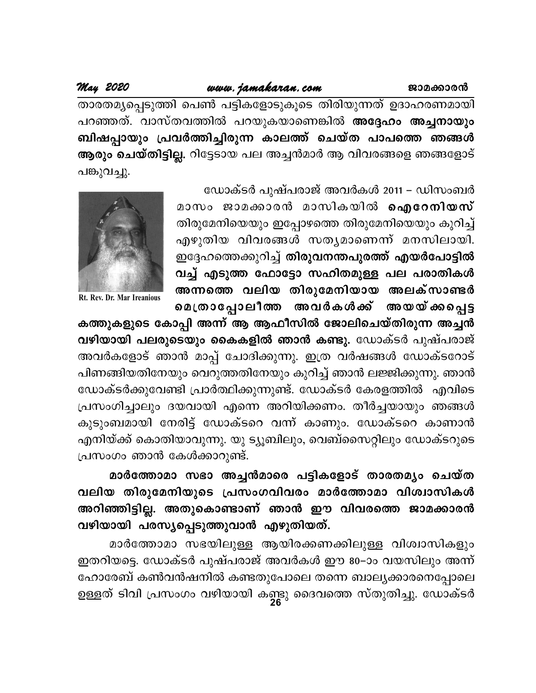## www.jamakaran.com

### May 2020

താരതമ്യപ്പെടുത്തി പെൺ പട്ടികളോടുകൂടെ തിരിയുന്നത് ഉദാഹരണമായി പറഞ്ഞത്. വാസ്തവത്തിൽ പറയുകയാണെങ്കിൽ അദ്ദേഹം അച്ചനായും ബിഷപ്പായും പ്രവർത്തിച്ചിരുന്ന കാലത്ത് ചെയ്ത പാപത്തെ ഞങ്ങൾ ആരും ചെയ്തിട്ടില്ല. റിട്ടേടായ പല അച്ചൻമാർ ആ വിവരങ്ങളെ ഞങ്ങളോട് പങ്കുവച്ചു.

ഡോക്ടർ പുഷ്പരാജ് അവർകൾ 2011 – ഡിസംബർ

മാസം ജാമക്കാരൻ മാസികയിൽ **ഐറേനിയസ്** തിരുമേനിയെയും ഇപ്പോഴത്തെ തിരുമേനിയെയും കുറിച്ച് എഴുതിയ വിവരങ്ങൾ സതൃമാണെന്ന് മനസിലായി. ഇദ്ദേഹത്തെക്കുറിച്ച് തിരുവനന്തപുരത്ത് എയർപോട്ടിൽ വച്ച് എടുത്ത ഫോട്ടോ സഹിതമുള്ള പല പരാതികൾ അന്നത്തെ വലിയ തിരുമേനിയായ അലക്സാണ്ടർ മെത്രാപ്പോലീത്ത അവർകൾക്ക് അയയ്ക്കപ്പെട്ട



Rt. Rev. Dr. Mar Ireanious

കത്തുകളുടെ കോപ്പി അന്ന് ആ ആഫീസിൽ ജോലിചെയ്തിരുന്ന അച്ചൻ വഴിയായി പലരുടെയും കൈകളിൽ ഞാൻ കണ്ടു. ഡോക്ടർ പുഷ്പരാജ് അവർകളോട് ഞാൻ മാപ്പ് ചോദിക്കുന്നു. ഇത്ര വർഷങ്ങൾ ഡോക്ടറോട് പിണങ്ങിയതിനേയും വെറുത്തതിനേയും കുറിച്ച് ഞാൻ ലജ്ജിക്കുന്നു. ഞാൻ ഡോക്ടർക്കുവേണ്ടി പ്രാർത്ഥിക്കുന്നുണ്ട്. ഡോക്ടർ കേരളത്തിൽ എവിടെ പ്രസംഗിച്ചാലും ദയവായി എന്നെ അറിയിക്കണം. തീർച്ചയായും ഞങ്ങൾ കുടുംബമായി നേരിട്ട് ഡോക്ടറെ വന്ന് കാണും. ഡോക്ടറെ കാണാൻ എനിയ്ക്ക് കൊതിയാവുന്നു. യു ട്യൂബിലും, വെബ്സൈറ്റിലും ഡോക്ടറുടെ പ്രസംഗം ഞാൻ കേൾക്കാറുണ്ട്.

മാർത്തോമാ സഭാ അച്ചൻമാരെ പട്ടികളോട് താരതമ്യം ചെയ്ത വലിയ തിരുമേനിയുടെ പ്രസംഗവിവരം മാർത്തോമാ വിശ്വാസികൾ അറിഞ്ഞിട്ടില്ല. അതുകൊണ്ടാണ് ഞാൻ ഈ വിവരത്തെ ജാമക്കാരൻ വഴിയായി പരസ്യപ്പെടുത്തുവാൻ എഴുതിയത്.

മാർത്തോമാ സഭയിലുള്ള ആയിരക്കണക്കിലുള്ള വിശ്വാസികളും ഇതറിയട്ടെ. ഡോക്ടർ പുഷ്പരാജ് അവർകൾ ഈ 80–ാം വയസിലും അന്ന് ഹോരേബ് കൺവൻഷനിൽ കണ്ടതുപോലെ തന്നെ ബാല്യക്കാരനെപ്പോലെ ഉള്ളത് ടിവി പ്രസംഗം വഴിയായി കണ്ടു ദൈവത്തെ സ്തുതിച്ചു. ഡോക്ടർ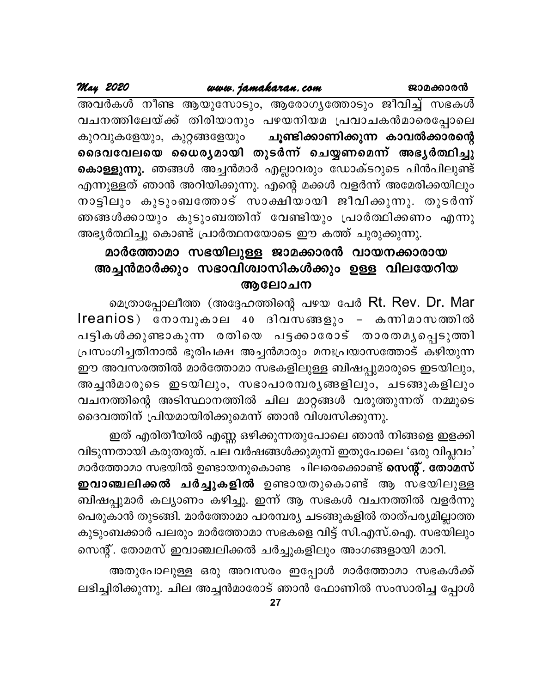അവർകൾ നീണ്ട ആയുസോടും, ആരോഗൃത്തോടും ജീവിച്ച് സഭകൾ വചനത്തിലേയ്ക്ക് തിരിയാനും പഴയനിയമ പ്രവാചകൻമാരെപ്പോലെ കുറവുകളേയും, കുറ്റങ്ങളേയും ചൂണ്ടിക്കാണിക്കുന്ന കാവൽക്കാരന്റെ ദൈവവേലയെ ധൈര്യമായി തുടർന്ന് ചെയ്യണമെന്ന് അഭ്യർത്ഥിച്ചു <mark>കൊള്ളുന്നു.</mark> ഞങ്ങൾ അച്ചൻമാർ എല്ലാവരും ഡോക്ടറുടെ പിൻപിലുണ്ട് എന്നുള്ളത് ഞാൻ അറിയിക്കുന്നു. എന്റെ മക്കൾ വളർന്ന് അമേരിക്കയിലും നാട്ടിലും കുടുംബത്തോട് സാക്ഷിയായി ജീവിക്കുന്നു. തുടർന്ന് ഞങ്ങൾക്കായും കുടുംബത്തിന് വേണ്ടിയും പ്രാർത്ഥിക്കണം എന്നു അഭ്യർത്ഥിച്ചു കൊണ്ട് പ്രാർത്ഥനയോടെ ഈ കത്ത് ചുരുക്കുന്നു.

## മാർത്തോമാ സഭയിലുള്ള ജാമക്കാരൻ വായനക്കാരായ അച്ചൻമാർക്കും സഭാവിശ്വാസികൾക്കും ഉള്ള വിലയേറിയ ആലോചന

മെത്രാപ്പോലീത്ത (അദ്ദേഹത്തിന്റെ പഴയ പേർ Rt. Rev. Dr. Mar Ireanios) നോമ്പുകാല 40 ദിവസങ്ങളും - കന്നിമാസത്തിൽ പട്ടികൾക്കുണ്ടാകുന്ന രതിയെ പട്ടക്കാരോട് താരതമൃപ്പെടുത്തി പ്രസംഗിച്ചതിനാൽ ഭൂരിപക്ഷ അച്ചൻമാരും മനഃപ്രയാസത്തോട് കഴിയുന്ന ഈ അവസരത്തിൽ മാർത്തോമാ സഭകളിലുള്ള ബിഷപ്പുമാരുടെ ഇടയിലും, അച്ചൻമാരുടെ ഇടയിലും, സഭാപാരമ്പരൃങ്ങളിലും, ചടങ്ങുകളിലും വചനത്തിന്റെ അടിസ്ഥാനത്തിൽ ചില മാറ്റങ്ങൾ വരുത്തുന്നത് നമ്മുടെ ദൈവത്തിന് പ്രിയമായിരിക്കുമെന്ന് ഞാൻ വിശ്വസിക്കുന്നു.

ഇത് എരിതീയിൽ എണ്ണ ഒഴിക്കുന്നതുപോലെ ഞാൻ നിങ്ങളെ ഇളക്കി വിടുന്നതായി കരുതരുത്. പല വർഷങ്ങൾക്കുമുമ്പ് ഇതുപോലെ 'ഒരു വിപ്ലവം' മാർത്തോമാ സഭയിൽ ഉണ്ടായനുകൊണ്ട ചിലരെക്കൊണ്ട് സെന്റ്. തോമസ് ഇവാഞ്ചലിക്കൽ ചർച്ചുകളിൽ ഉണ്ടായതുകൊണ്ട് ആ സഭയിലുള്ള ബിഷപ്പുമാർ കല്യാണം കഴിച്ചു. ഇന്ന് ആ സഭകൾ വചനത്തിൽ വളർന്നു പെരുകാൻ തുടങ്ങി. മാർത്തോമാ പാരമ്പര്യ ചടങ്ങുകളിൽ താത്പര്യമില്ലാത്ത കുടുംബക്കാർ പലരും മാർത്തോമാ സഭകളെ വിട്ട് സി.എസ്.ഐ. സഭയിലും സെന്റ്. തോമസ് ഇവാഞ്ചലിക്കൽ ചർച്ചുകളിലും അംഗങ്ങളായി മാറി.

അതുപോലുള്ള ഒരു അവസരം ഇപ്പോൾ മാർത്തോമാ സഭകൾക്ക് ലഭിച്ചിരിക്കുന്നു. ചില അച്ചൻമാരോട് ഞാൻ ഫോണിൽ സംസാരിച്ച പ്പോൾ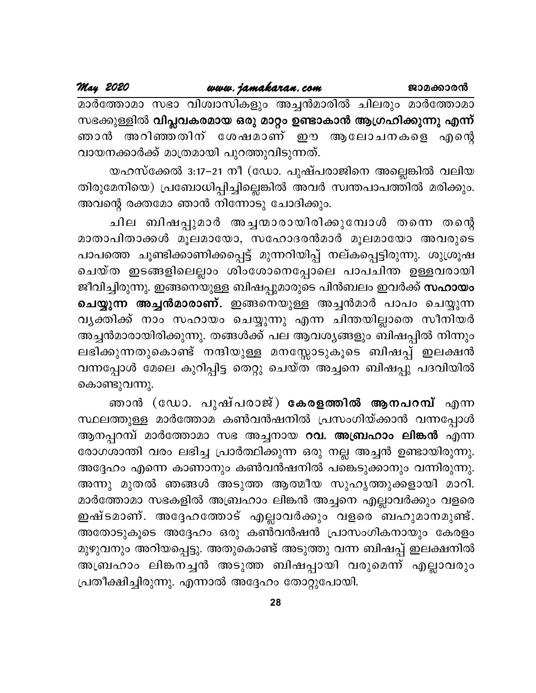മാർത്തോമാ സഭാ വിശ്വാസികളും അച്ചൻമാരിൽ ചിലരും മാർത്തോമാ സഭക്കുള്ളിൽ വിപ്ലവകരമായ ഒരു മാറ്റം ഉണ്ടാകാൻ ആഗ്രഹിക്കുന്നു എന്ന് ഞാൻ അറിഞ്ഞതിന് ശേഷമാണ് ഈ ആലോചനകളെ എന്റെ വായനക്കാർക്ക് മാത്രമായി പുറത്തുവിടുന്നത്.

യഹസ്ക്കേൽ 3:17−21 നീ (ഡോ. പുഷ്പരാജിനെ അല്ലെങ്കിൽ വലിയ തിരുമേനിയെ) പ്രബോധിപ്പിച്ചില്ലെങ്കിൽ അവർ സ്വന്തപാപത്തിൽ മരിക്കും. അവന്റെ രക്തമോ ഞാൻ നിന്നോടു ചോദിക്കും.

ചില ബിഷപ്പുമാർ അച്ചന്മാരായിരിക്കുമ്പോൾ തന്നെ തന്റെ മാതാപിതാക്കൾ മൂലമായോ, സഹോദരൻമാർ മൂലമായോ അവരുടെ പാപത്തെ ചൂണ്ടിക്കാണിക്കപ്പെട്ട് മുന്നറിയിപ്പ് നല്കപ്പെട്ടിരുന്നു. ശുശ്രൂഷ ചെയ്ത ഇടങ്ങളിലെല്ലാം ശിംശോനെപ്പോലെ പാപചിന്ത ഉള്ളവരായി ജീവിച്ചിരുന്നു. ഇങ്ങനെയുള്ള ബിഷപ്പുമാരുടെ പിൻബലം ഇവർക്ക് **സഹായം** ചെയ്യുന്ന അച്ചൻമാരാണ്. ഇങ്ങനെയുള്ള അച്ചൻമാർ പാപം ചെയ്യുന്ന വൃക്തിക്ക് നാം സഹായം ചെയ്യുന്നു എന്ന ചിന്തയില്ലാതെ സീനിയർ അച്ചൻമാരായിരിക്കുന്നു. തങ്ങൾക്ക് പല ആവശ്യങ്ങളും ബിഷപ്പിൽ നിന്നും ലഭിക്കുന്നതുകൊണ്ട് നന്ദിയുള്ള മനസ്സോടുകൂടെ ബിഷപ്പ് ഇലക്ഷൻ വന്നപ്പോൾ മേലെ കുറിപ്പിട്ട തെറ്റു ചെയ്ത അച്ചനെ ബിഷപ്പു പദവിയിൽ കൊണ്ടുവന്നു.

ഞാൻ (ഡോ. പുഷ്പരാജ്) കേരളത്തിൽ ആനപറമ്പ് എന്ന സ്ഥലത്തുള്ള മാർത്തോമ കൺവൻഷനിൽ പ്രസംഗിയ്ക്കാൻ വന്നപ്പോൾ ആനപ്പറമ്പ് മാർത്തോമാ സഭ അച്ചനായ **റവ. അബ്രഹാം ലിങ്കൻ** എന്ന രോഗശാന്തി വരം ലഭിച്ച പ്രാർത്ഥിക്കുന്ന ഒരു നല്ല അച്ചൻ ഉണ്ടായിരുന്നു. അദ്ദേഹം എന്നെ കാണാനും കൺവൻഷനിൽ പങ്കെടുക്കാനും വന്നിരുന്നു. അന്നു മുതൽ ഞങ്ങൾ അടുത്ത ആത്മീയ സുഹൃത്തുക്കളായി മാറി. മാർത്തോമാ സഭകളിൽ അബ്രഹാം ലിങ്കൻ അച്ചനെ എല്ലാവർക്കും വളരെ ഇഷ്ടമാണ്. അദ്ദേഹത്തോട് എല്ലാവർക്കും വളരെ ബഹുമാനമുണ്ട്. അതോടുകൂടെ അദ്ദേഹം ഒരു കൺവൻഷൻ പ്രാസംഗികനായും കേരളം മുഴുവനും അറിയപ്പെട്ടു. അതുകൊണ്ട് അടുത്തു വന്ന ബിഷപ്പ് ഇലക്ഷനിൽ അബ്രഹാം ലിങ്കനച്ചൻ അടുത്ത ബിഷപ്പായി വരുമെന്ന് എല്ലാവരും പ്രതീക്ഷിച്ചിരുന്നു. എന്നാൽ അദ്ദേഹം തോറ്റുപോയി.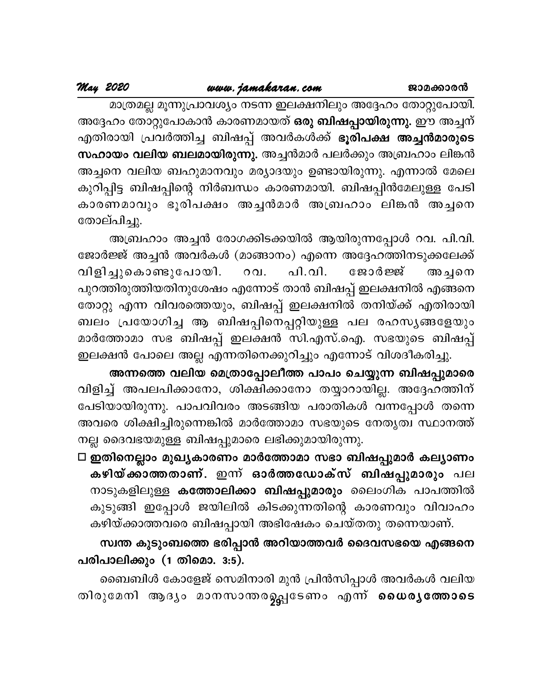മാത്രമല്ല മൂന്നുപ്രാവശ്യം നടന്ന ഇലക്ഷനിലും അദ്ദേഹം തോറ്റുപോയി. അദ്ദേഹം തോറ്റുപോകാൻ കാരണമായത് **ഒരു ബിഷപ്പായിരുന്നു.** ഈ അച്ചന് എതിരായി പ്രവർത്തിച്ച ബിഷപ്പ് അവർകൾക്ക് ഭൂരിപക്ഷ അച്ചൻമാരുടെ സഹായം വലിയ ബലമായിരുന്നു. അച്ചൻമാർ പലർക്കും അബ്രഹാം ലിങ്കൻ അച്ചനെ വലിയ ബഹുമാനവും മര്യാദയും ഉണ്ടായിരുന്നു. എന്നാൽ മേലെ കുറിപ്പിട്ട ബിഷപ്പിന്റെ നിർബന്ധം കാരണമായി. ബിഷപ്പിൻമേലുള്ള പേടി കാരണമാവും ഭൂരിപക്ഷം അച്ചൻമാർ അബ്രഹാം ലിങ്കൻ അച്ചനെ തോല്പിച്ചു.

അബ്രഹാം അച്ചൻ രോഗക്കിടക്കയിൽ ആയിരുന്നപ്പോൾ റവ. പി.വി. ജോർജ്ജ് അച്ചൻ അവർകൾ (മാങ്ങാനം) എന്നെ അദ്ദേഹത്തിനടുക്കലേക്ക് പി.വി. വിളിച്ചുകൊണ്ടുപോയി. ജോർജ്ജ് റവ. അച്ചനെ പുറത്തിരുത്തിയതിനുശേഷം എന്നോട് താൻ ബിഷപ്പ് ഇലക്ഷനിൽ എങ്ങനെ തോറ്റു എന്ന വിവരത്തെയും, ബിഷപ്പ് ഇലക്ഷനിൽ തനിയ്ക്ക് എതിരായി ബലം പ്രയോഗിച്ച ആ ബിഷപ്പിനെപ്പറ്റിയുള്ള പല രഹസ്യങ്ങളേയും മാർത്തോമാ സഭ ബിഷപ്പ് ഇലക്ഷൻ സി.എസ്.ഐ. സഭയുടെ ബിഷപ്പ് ഇലക്ഷൻ പോലെ അല്ല എന്നതിനെക്കുറിച്ചും എന്നോട് വിശദീകരിച്ചു.

അന്നത്തെ വലിയ മെത്രാപ്പോലീത്ത പാപം ചെയ്യുന്ന ബിഷപ്പുമാരെ വിളിച്ച് അപലപിക്കാനോ, ശിക്ഷിക്കാനോ തയ്യാറായില്ല. അദ്ദേഹത്തിന് പേടിയായിരുന്നു. പാപവിവരം അടങ്ങിയ പരാതികൾ വന്നപ്പോൾ തന്നെ അവരെ ശിക്ഷിച്ചിരുന്നെങ്കിൽ മാർത്തോമാ സഭയുടെ നേതൃത്വ സ്ഥാനത്ത് നല്ല ദൈവഭയമുള്ള ബിഷപ്പുമാരെ ലഭിക്കുമായിരുന്നു.

 $\Box$  ഇതിനെല്ലാം മുഖ്യകാരണം മാർത്തോമാ സഭാ ബിഷപ്പുമാർ കല്യാണം കഴിയ്ക്കാത്തതാണ്. ഇന്ന് ഓർത്തഡോക്സ് ബിഷപ്പുമാരും പല നാടുകളിലുള്ള <mark>കത്തോലിക്കാ ബിഷപ്പുമാരും</mark> ലൈംഗിക പാപത്തിൽ കുടുങ്ങി ഇപ്പോൾ ജയിലിൽ കിടക്കുന്നതിന്റെ കാരണവും വിവാഹം കഴിയ്ക്കാത്തവരെ ബിഷപ്പായി അഭിഷേകം ചെയ്തതു തന്നെയാണ്.

### സ്വന്ത കുടുംബത്തെ ഭരിപ്പാൻ അറിയാത്തവർ ദൈവസഭയെ എങ്ങനെ പരിപാലിക്കും (1 തിമൊ. 3:5).

ബൈബിൾ കോളേജ് സെമിനാരി മുൻ പ്രിൻസിപ്പാൾ അവർകൾ വലിയ തിരുമേനി ആദ്യം മാനസാന്തരഉപ്പഭടണം എന്ന് ധൈര്യത്തോടെ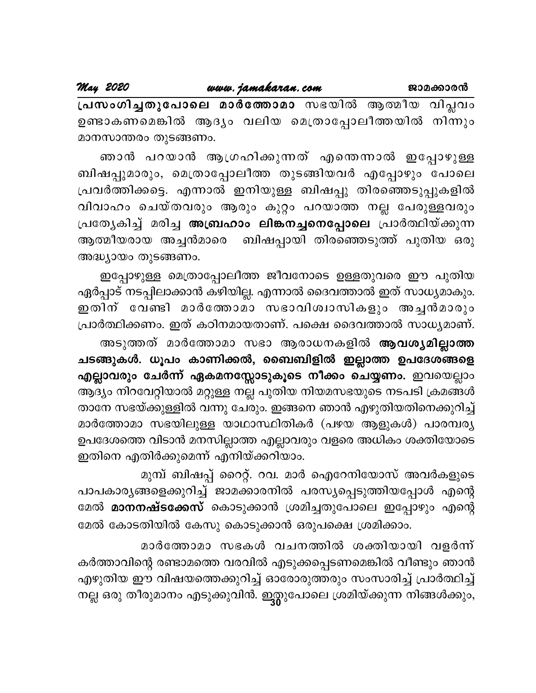പ്രസംഗിച്ചതുപോലെ മാർത്തോമാ സഭയിൽ ആത്മീയ വിപ്ലവം ഉണ്ടാകണമെങ്കിൽ ആദ്യം വലിയ മെത്രാപ്പോലീത്തയിൽ നിന്നും മാനസാന്തരം തുടങ്ങണം.

ഞാൻ പറയാൻ ആഗ്രഹിക്കുന്നത് എന്തെന്നാൽ ഇപ്പോഴുള്ള ബിഷപ്പുമാരും, മെത്രാപ്പോലീത്ത തുടങ്ങിയവർ എപ്പോഴും പോലെ പ്രവർത്തിക്കട്ടെ. എന്നാൽ ഇനിയുള്ള ബിഷപ്പു തിരഞ്ഞെടുപ്പുകളിൽ വിവാഹം ചെയ്തവരും ആരും കുറ്റം പറയാത്ത നല്ല പേരുള്ളവരും പ്രത്യേകിച്ച് മരിച്ച അബ്രഹാം ലിങ്കനച്ചനെപ്പോലെ പ്രാർത്ഥിയ്ക്കുന്ന ആത്മീയരായ അച്ചൻമാരെ ബിഷപ്പായി തിരഞ്ഞെടുത്ത് പുതിയ ഒരു അദ്ധ്യായം തുടങ്ങണം.

ഇപ്പോഴുള്ള മെത്രാപ്പോലീത്ത ജീവനോടെ ഉള്ളതുവരെ ഈ പുതിയ ഏർപ്പാട് നടപ്പിലാക്കാൻ കഴിയില്ല. എന്നാൽ ദൈവത്താൽ ഇത് സാധ്യമാകും. ഇതിന് വേണ്ടി മാർത്തോമാ സഭാവിശ്വാസികളും അച്ചൻമാരും പ്രാർത്ഥിക്കണം. ഇത് കഠിനമായതാണ്. പക്ഷെ ദൈവത്താൽ സാധ്യമാണ്.

അടുത്തത് മാർത്തോമാ സഭാ ആരാധനകളിൽ ആവശ്യമില്ലാത്ത ചടങ്ങുകൾ. ധൂപം കാണിക്കൽ, ബൈബിളിൽ ഇല്ലാത്ത ഉപദേശങ്ങളെ എല്ലാവരും ചേർന്ന് ഏകമനസ്സോടുകൂടെ നീക്കം ചെയ്യണം. ഇവയെല്ലാം ആദ്യം നിറവേറ്റിയാൽ മറ്റുള്ള നല്ല പുതിയ നിയമസഭയുടെ നടപടി ക്രമങ്ങൾ താനേ സഭയ്ക്കുള്ളിൽ വന്നു ചേരും. ഇങ്ങനെ ഞാൻ എഴുതിയതിനെക്കുറിച്ച് മാർത്തോമാ സഭയിലുള്ള യാഥാസ്ഥിതികർ (പഴയ ആളുകൾ) പാരമ്പര്യ ഉപദേശത്തെ വിടാൻ മനസില്ലാത്ത എല്ലാവരും വളരെ അധികം ശക്തിയോടെ ഇതിനെ എതിർക്കുമെന്ന് എനിയ്ക്കറിയാം.

മുമ്പ് ബിഷപ്പ് റൈറ്റ്. റവ. മാർ ഐറേനിയോസ് അവർകളുടെ പാപകാര്യങ്ങളെക്കുറിച്ച് ജാമക്കാരനിൽ പരസ്യപ്പെടുത്തിയപ്പോൾ എന്റെ മേൽ **മാനനഷ്ടക്കേസ്** കൊടുക്കാൻ ശ്രമിച്ചതുപോലെ ഇപ്പോഴും എന്റെ മേൽ കോടതിയിൽ കേസു കൊടുക്കാൻ ഒരുപക്ഷെ ശ്രമിക്കാം.

മാർത്തോമാ സഭകൾ വചനത്തിൽ ശക്തിയായി വളർന്ന് കർത്താവിന്റെ രണ്ടാമത്തെ വരവിൽ എടുക്കപ്പെടണമെങ്കിൽ വീണ്ടും ഞാൻ എഴുതിയ ഈ വിഷയത്തെക്കുറിച്ച് ഓരോരുത്തരും സംസാരിച്ച് പ്രാർത്ഥിച്ച് നല്ല ഒരു തീരുമാനം എടുക്കുവിൻ. ഇത്ലുപോലെ ശ്രമിയ്ക്കുന്ന നിങ്ങൾക്കും,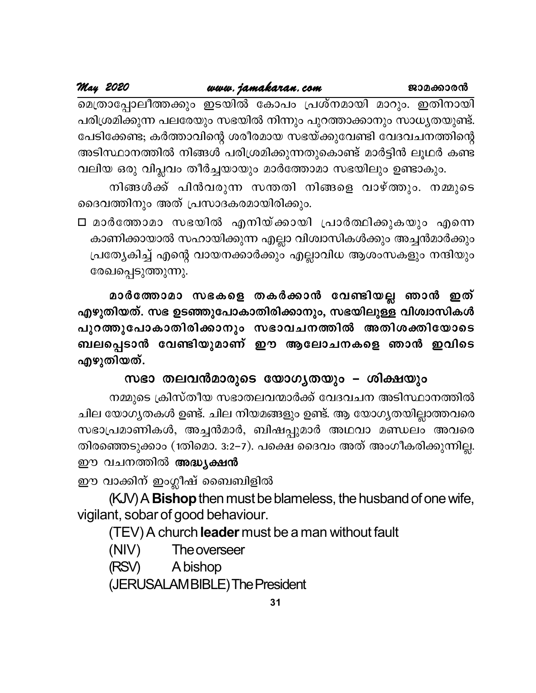മെത്രാപ്പോലീത്തക്കും ഇടയിൽ കോപം പ്രശ്നമായി മാറും. ഇതിനായി പരിശ്രമിക്കുന്ന പലരേയും സഭയിൽ നിന്നും പുറത്താക്കാനും സാധ്യതയുണ്ട്. പേടിക്കേണ്ട; കർത്താവിന്റെ ശരീരമായ സഭയ്ക്കുവേണ്ടി വേദവചനത്തിന്റെ അടിസ്ഥാനത്തിൽ നിങ്ങൾ പരിശ്രമിക്കുന്നതുകൊണ്ട് മാർട്ടിൻ ലൂഥർ കണ്ട വലിയ ഒരു വിപ്ലവം തീർച്ചയായും മാർത്തോമാ സഭയിലും ഉണ്ടാകും.

നിങ്ങൾക്ക് പിൻവരുന്ന സന്തതി നിങ്ങളെ വാഴ്ത്തും. നമ്മുടെ ദൈവത്തിനും അത് പ്രസാദകരമായിരിക്കും.

□ മാർത്തോമാ സഭയിൽ എനിയ്ക്കായി പ്രാർത്ഥിക്കുകയും എന്നെ കാണിക്കായാൽ സഹായിക്കുന്ന എല്ലാ വിശ്വാസികൾക്കും അച്ചൻമാർക്കും പ്രത്യേകിച്ച് എന്റെ വായനക്കാർക്കും എല്ലാവിധ ആശംസകളും നന്ദിയും രേഖപ്പെടുത്തുന്നു.

മാർത്തോമാ സഭകളെ തകർക്കാൻ വേണ്ടിയല്ല ഞാൻ ഇത് എഴുതിയത്. സഭ ഉടഞ്ഞുപോകാതിരിക്കാനും, സഭയിലുള്ള വിശ്വാസികൾ പുറത്തുപോകാതിരിക്കാനും സഭാവചനത്തിൽ അതിശക്തിയോടെ ബലപ്പെടാൻ വേണ്ടിയുമാണ് ഈ ആലോചനകളെ ഞാൻ ഇവിടെ എഴുതിയത്.

സഭാ തലവൻമാരുടെ യോഗ്യതയും – ശിക്ഷയും

നമ്മുടെ ക്രിസ്തീയ സഭാതലവന്മാർക്ക് വേദവചന അടിസ്ഥാനത്തിൽ ചില യോഗൃതകൾ ഉണ്ട്. ചില നിയമങ്ങളും ഉണ്ട്. ആ യോഗൃതയില്ലാത്തവരെ സഭാപ്രമാണികൾ, അച്ചൻമാർ, ബിഷപ്പുമാർ അഥവാ മണ്ഡലം അവരെ തിരഞ്ഞെടുക്കാം (1തിമൊ. 3:2–7). പക്ഷെ ദൈവം അത് അംഗീകരിക്കുന്നില്ല. ഈ വചനത്തിൽ അദ്ധ്യക്ഷൻ

ഈ വാക്കിന് ഇംഗ്ലീഷ് ബൈബിളിൽ

(KJV) A **Bishop** then must be blameless, the husband of one wife, vigilant, sobar of good behaviour.

(TEV) A church leader must be a man without fault

(NIV) The overseer

A bishop (RSV)

(JERUSALAMBIBLE) The President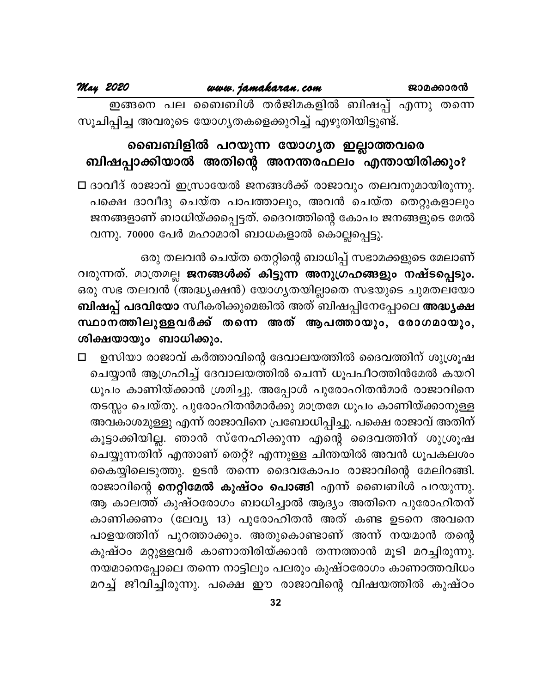ഇങ്ങനെ പല ബൈബിൾ തർജിമകളിൽ ബിഷപ്പ് എന്നു തന്നെ സൂചിപ്പിച്ച അവരുടെ യോഗ്യതകളെക്കുറിച്ച് എഴുതിയിട്ടുണ്ട്.

## ബൈബിളിൽ പറയുന്ന യോഗൃത ഇല്ലാത്തവരെ ബിഷപ്പാക്കിയാൽ അതിന്റെ അനന്തരഫലം എന്തായിരിക്കും?

□ ദാവീദ് രാജാവ് ഇസ്രായേൽ ജനങ്ങൾക്ക് രാജാവും തലവനുമായിരുന്നു. പക്ഷെ ദാവീദു ചെയ്ത പാപത്താലും, അവൻ ചെയ്ത തെറ്റുകളാലും ജനങ്ങളാണ് ബാധിയ്ക്കപ്പെട്ടത്. ദൈവത്തിന്റെ കോപം ജനങ്ങളുടെ മേൽ വന്നു. 70000 പേർ മഹാമാരി ബാധകളാൽ കൊല്ലപ്പെട്ടു.

ഒരു തലവൻ ചെയ്ത തെറ്റിന്റെ ബാധിപ്പ് സഭാമക്കളുടെ മേലാണ് വരുന്നത്. മാത്രമല്ല ജനങ്ങൾക്ക് കിട്ടുന്ന അനുഗ്രഹങ്ങളും നഷ്ടപ്പെടും. ഒരു സഭ തലവൻ (അദ്ധ്യക്ഷൻ) യോഗ്യതയില്ലാതെ സഭയുടെ ചുമതലയോ <mark>ബിഷപ്പ് പദവിയോ</mark> സ്വീകരിക്കുമെങ്കിൽ അത് ബിഷപ്പിനേപ്പോലെ **അദ്ധ്യക്ഷ** സ്ഥാനത്തിലുള്ളവർക്ക് തന്നെ അത് ആപത്തായും, രോഗമായും, ശിക്ഷയായും ബാധിക്കും.

ഉസിയാ രാജാവ് കർത്താവിന്റെ ദേവാലയത്തിൽ ദൈവത്തിന് ശുശ്രൂഷ  $\Box$ ചെയ്യാൻ ആഗ്രഹിച്ച് ദേവാലയത്തിൽ ചെന്ന് ധൂപപീഠത്തിൻമേൽ കയറി ധൂപം കാണിയ്ക്കാൻ ശ്രമിച്ചു. അപ്പോൾ പുരോഹിതൻമാർ രാജാവിനെ തടസ്സം ചെയ്തു. പുരോഹിതൻമാർക്കു മാത്രമേ ധൂപം കാണിയ്ക്കാനുള്ള അവകാശമുള്ളു എന്ന് രാജാവിനെ പ്രബോധിപ്പിച്ചു. പക്ഷെ രാജാവ് അതിന് കൂട്ടാക്കിയില്ല. ഞാൻ സ്നേഹിക്കുന്ന എന്റെ ദൈവത്തിന് ശുശ്രൂഷ ചെയ്യുന്നതിന് എന്താണ് തെറ്റ്? എന്നുള്ള ചിന്തയിൽ അവൻ ധൂപകലശം കൈയ്യിലെടുത്തു. ഉടൻ തന്നെ ദൈവകോപം രാജാവിന്റെ മേലിറങ്ങി. രാജാവിന്റെ <mark>നെറ്റിമേൽ കുഷ്ഠം പൊങ്ങി</mark> എന്ന് ബൈബിൾ പറയുന്നു. ആ കാലത്ത് കുഷ്ഠരോഗം ബാധിച്ചാൽ ആദ്യം അതിനെ പുരോഹിതന് കാണിക്കണം (ലേവ്യ 13) പുരോഹിതൻ അത് കണ്ട ഉടനെ അവനെ പാളയത്തിന് പുറത്താക്കും. അതുകൊണ്ടാണ് അന്ന് നയമാൻ തന്റെ കുഷ്ഠം മറ്റുള്ളവർ കാണാതിരിയ്ക്കാൻ തന്നത്താൻ മൂടി മറച്ചിരുന്നു. നയമാനെപ്പോലെ തന്നെ നാട്ടിലും പലരും കുഷ്ഠരോഗം കാണാത്തവിധം മറച്ച് ജീവിച്ചിരുന്നു. പക്ഷെ ഈ രാജാവിന്റെ വിഷയത്തിൽ കുഷ്ഠം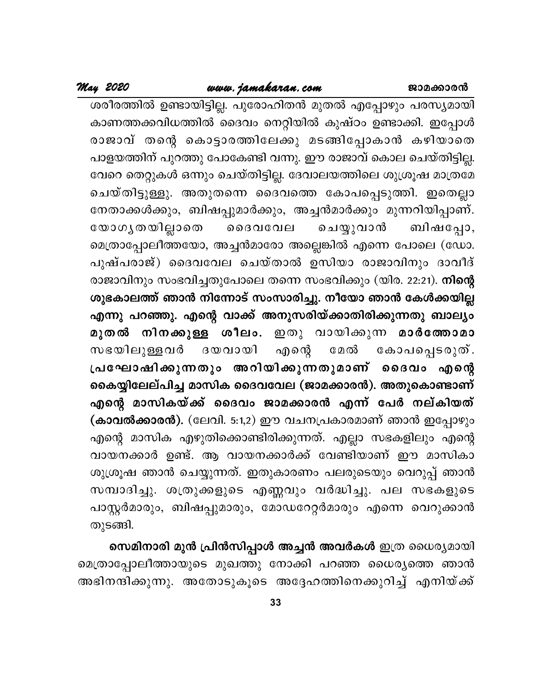## www.jamakaran.com

ശരീരത്തിൽ ഉണ്ടായിട്ടില്ല. പുരോഹിതൻ മുതൽ എപ്പോഴും പരസ്യമായി കാണത്തക്കവിധത്തിൽ ദൈവം നെറ്റിയിൽ കുഷ്ഠം ഉണ്ടാക്കി. ഇപ്പോൾ രാജാവ് തന്റെ കൊട്ടാരത്തിലേക്കു മടങ്ങിപ്പോകാൻ കഴിയാതെ പാളയത്തിന് പുറത്തു പോകേണ്ടി വന്നു. ഈ രാജാവ് കൊല ചെയ്തിട്ടില്ല. വേറെ തെറ്റുകൾ ഒന്നും ചെയ്തിട്ടില്ല. ദേവാലയത്തിലെ ശുശ്രൂഷ മാത്രമേ ചെയ്തിട്ടുള്ളു. അതുതന്നെ ദൈവത്തെ കോപപ്പെടുത്തി. ഇതെല്ലാ നേതാക്കൾക്കും, ബിഷപ്പുമാർക്കും, അച്ചൻമാർക്കും മുന്നറിയിപ്പാണ്. യോഗൃതയില്ലാതെ ൈദവവേല ചെയ്യുവാൻ ബിഷപ്പോ, മെത്രാപ്പോലീത്തയോ, അച്ചൻമാരോ അല്ലെങ്കിൽ എന്നെ പോലെ (ഡോ. പുഷ്പരാജ്) ദൈവവേല ചെയ്താൽ ഉസിയാ രാജാവിനും ദാവീദ് രാജാവിനും സംഭവിച്ചതുപോലെ തന്നെ സംഭവിക്കും (യിര. 22:21). **നിന്റെ** ശുഭകാലത്ത് ഞാൻ നിന്നോട് സംസാരിച്ചു. നീയോ ഞാൻ കേൾക്കയില്ല എന്നു പറഞ്ഞു. എന്റെ വാക്ക് അനുസരിയ്ക്കാതിരിക്കുന്നതു ബാല്യം മുതൽ നിനക്കുള്ള ശീലം. ഇതു വായിക്കുന്ന മാർത്തോമാ സഭയിലുള്ളവർ ദയവായി എന്റെ മേൽ കോപപ്പെടരുത്. പ്രഘോഷിക്കുന്നതും അറിയിക്കുന്നതുമാണ് ദൈവം എന്റെ കൈയ്യിലേല്പിച്ച മാസിക ദൈവവേല (ജാമക്കാരൻ). അതുകൊണ്ടാണ് എന്റെ മാസികയ്ക്ക് ദൈവം ജാമക്കാരൻ എന്ന് പേർ നല്കിയത് (കാവൽക്കാരൻ). (ലേവി. 5:1,2) ഈ വചനപ്രകാരമാണ് ഞാൻ ഇപ്പോഴും എന്റെ മാസിക എഴുതിക്കൊണ്ടിരിക്കുന്നത്. എല്ലാ സഭകളിലും എന്റെ വായനക്കാർ ഉണ്ട്. ആ വായനക്കാർക്ക് വേണ്ടിയാണ് ഈ മാസികാ ശുശ്രൂഷ ഞാൻ ചെയ്യുന്നത്. ഇതുകാരണം പലരുടെയും വെറുപ്പ് ഞാൻ സമ്പാദിച്ചു. ശത്രുക്കളുടെ എണ്ണവും വർദ്ധിച്ചു. പല സഭകളുടെ പാസ്റ്റർമാരും, ബിഷപ്പുമാരും, മോഡറേറ്റർമാരും എന്നെ വെറുക്കാൻ തുടങ്ങി.

സെമിനാരി മുൻ പ്രിൻസിപ്പാൾ അച്ചൻ അവർകൾ ഇത്ര ധൈര്യമായി മെത്രാപ്പോലീത്തായുടെ മുഖത്തു നോക്കി പറഞ്ഞ ധൈര്യത്തെ ഞാൻ അഭിനന്ദിക്കുന്നു. അതോടുകൂടെ അദ്ദേഹത്തിനെക്കുറിച്ച് എനിയ്ക്ക്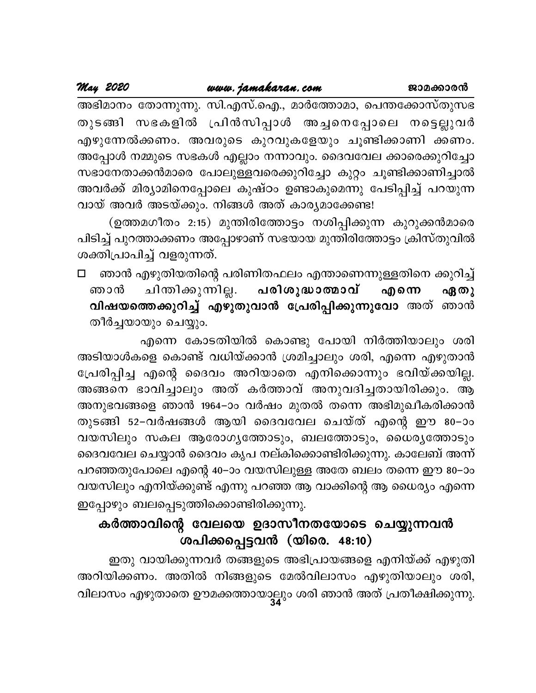അഭിമാനം തോന്നുന്നു. സി.എസ്.ഐ., മാർത്തോമാ, പെന്തക്കോസ്തുസഭ തുടങ്ങി സഭകളിൽ പ്രിൻസിപ്പാൾ അച്ചനെപ്പോലെ നട്ടെല്ലുവർ എഴുന്നേൽക്കണം. അവരുടെ കുറവുകളേയും ചൂണ്ടിക്കാണി ക്കണം. അപ്പോൾ നമ്മുടെ സഭകൾ എല്ലാം നന്നാവും. ദൈവവേല ക്കാരെക്കുറിച്ചോ സഭാനേതാക്കൻമാരെ പോലുള്ളവരെക്കുറിച്ചോ കുറ്റം ചൂണ്ടിക്കാണിച്ചാൽ അവർക്ക് മിര്യാമിനെപ്പോലെ കുഷ്ഠം ഉണ്ടാകുമെന്നു പേടിപ്പിച്ച് പറയുന്ന വായ് അവർ അടയ്ക്കും. നിങ്ങൾ അത് കാര്യമാക്കേണ്ട!

(ഉത്തമഗീതം 2:15) മുന്തിരിത്തോട്ടം നശിപ്പിക്കുന്ന കുറുക്കൻമാരെ പിടിച്ച് പുറത്താക്കണം അപ്പോഴാണ് സഭയായ മുന്തിരിത്തോട്ടം ക്രിസ്തുവിൽ ശക്തിപ്രാപിച്ച് വളരുന്നത്.

ഞാൻ എഴുതിയതിന്റെ പരിണിതഫലം എന്താണെന്നുള്ളതിനെ ക്കുറിച്ച്  $\Box$ ചിന്തിക്കുന്നില്ല. <mark>പരിശുദ്ധാത്മാവ്</mark> എന്നെ ഞാൻ ഏതു വിഷയത്തെക്കുറിച്ച് എഴുതുവാൻ പ്രേരിപ്പിക്കുന്നുവോ അത് ഞാൻ തീർച്ചയായും ചെയ്യും.

എന്നെ കോടതിയിൽ കൊണ്ടു പോയി നിർത്തിയാലും ശരി അടിയാൾകളെ കൊണ്ട് വധിയ്ക്കാൻ ശ്രമിച്ചാലും ശരി, എന്നെ എഴുതാൻ പ്രേരിപ്പിച്ച എന്റെ ദൈവം അറിയാതെ എനിക്കൊന്നും ഭവിയ്ക്കയില്ല. അങ്ങനെ ഭാവിച്ചാലും അത് കർത്താവ് അനുവദിച്ചതായിരിക്കും. ആ അനുഭവങ്ങളെ ഞാൻ 1964–ാം വർഷം മുതൽ തന്നെ അഭിമുഖീകരിക്കാൻ തുടങ്ങി 52–വർഷങ്ങൾ ആയി ദൈവവേല ചെയ്ത് എന്റെ ഈ 80–ാം വയസിലും സകല ആരോഗൃത്തോടും, ബലത്തോടും, ധൈരൃത്തോടും ദൈവവേല ചെയ്യാൻ ദൈവം കൃപ നല്കിക്കൊണ്ടിരിക്കുന്നു. കാലേബ് അന്ന് പറഞ്ഞതുപോലെ എന്റെ 40–ാം വയസിലുള്ള അതേ ബലം തന്നെ ഈ 80–ാം വയസിലും എനിയ്ക്കുണ്ട് എന്നു പറഞ്ഞ ആ വാക്കിന്റെ ആ ധൈര്യം എന്നെ ഇപ്പോഴും ബലപ്പെടുത്തിക്കൊണ്ടിരിക്കുന്നു.

## കർത്താവിന്റെ വേലയെ ഉദാസീനതയോടെ ചെയ്യുന്നവൻ ശപിക്കപ്പെട്ടവൻ (യിരെ. 48:10)

ഇതു വായിക്കുന്നവർ തങ്ങളുടെ അഭിപ്രായങ്ങളെ എനിയ്ക്ക് എഴുതി അറിയിക്കണം. അതിൽ നിങ്ങളുടെ മേൽവിലാസം എഴുതിയാലും ശരി, വിലാസം എഴുതാതെ ഊമക്കത്തായാല്ലും ശരി ഞാൻ അത് പ്രതീക്ഷിക്കുന്നു.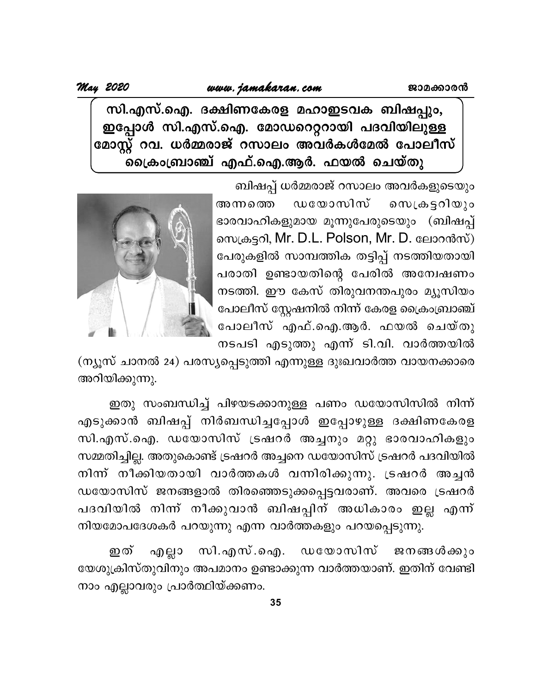## *May 2020 [www.jamakaran.com](http://www.jamakaran.com)*  **Pma¡mc³**

സി.എസ്.ഐ. ദക്ഷിണകേരള മഹാഇടവക ബിഷപ്പും, ഇപ്പോൾ സി.എസ്.ഐ. മോഡറെറ്ററായി പദവിയിലുള്ള മോസ്റ്റ് റവ. ധർമ്മരാജ് റസാലം അവർകൾമേൽ പോലീസ് ക്രൈംബ്രാഞ്ച് എഫ്.ഐ.ആർ. ഫയൽ ചെയ്തു

> ബിഷപ്പ് ധർമ്മരാജ് റസാലം അവർകളുടെയും അന്നത്തെ ഡയോസിസ് സെക്രട്ടറിയും ഭാരവാഹികളുമായ മൂന്നുപേരുടെയും (ബിഷപ്പ് സെക്രട്ടറി, Mr. D.L. Polson, Mr. D. ലോറൻസ്) പേരുകളിൽ സാമ്പത്തിക തട്ടിപ്പ് നടത്തിയതായി പരാതി ഉണ്ടായതിന്റെ പേരിൽ അന്വേഷണം നടത്തി. ഈ കേസ് തിരുവനന്തപുരം മ്യൂസിയം പോലീസ് സ്റ്റേഷനിൽ നിന്ന് കേരള ക്രൈംബ്രാഞ്ച് പോലീസ് എഫ്.ഐ.ആർ. ഫയൽ ചെയ്തു നടപടി എടുത്തു എന്ന് ടി.വി. വാർത്തയിൽ



(ന്യൂസ് ചാനൽ 24) പരസ്യപ്പെടുത്തി എന്നുള്ള ദുഃഖവാർത്ത വായനക്കാരെ അറിയിക്കുന്നു.

ഇതു സംബന്ധിച്ച് പിഴയടക്കാനുള്ള പണം ഡയോസിസിൽ നിന്ന് എടുക്കാൻ ബിഷപ്പ് നിർബന്ധിച്ചപ്പോൾ ഇപ്പോഴുള്ള ദക്ഷിണകേരള സി.എസ്.ഐ. ഡയോസിസ് ട്രഷറർ അച്ചനും മറ്റു ഭാരവാഹികളും സമ്മതിച്ചില്ല. അതുകൊണ്ട് ട്രഷറർ അച്ചനെ ഡയോസിസ് ട്രഷറർ പദവിയിൽ നിന്ന് നീക്കിയതായി വാർത്തകൾ വന്നിരിക്കുന്നു. ട്രഷറർ അച്ചൻ ഡയോസിസ് ജനങ്ങളാൽ തിരഞ്ഞെടുക്കപ്പെട്ടവരാണ്. അവരെ ട്രഷറർ പദവിയിൽ നിന്ന് നീക്കുവാൻ ബിഷപ്പിന് അധികാരം ഇല്ല എന്ന് നിയമോപദേശകർ പറയുന്നു എന്ന വാർത്തകളും പറയപ്പെടുന്നു.

ഇത് എല്ലാ സി.എസ്.ഐ. ഡയോസിസ് ജനങ്ങൾക്കും യേശുക്രിസ്തുവിനും അപമാനം ഉണ്ടാക്കുന്ന വാർത്തയാണ്. ഇതിന് വേണ്ടി നാം എല്ലാവരും പ്രാർത്ഥിയ്ക്കണം.